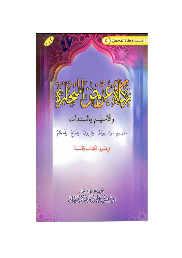سلسلة زكاة المحسن  $\delta$ Nº 60 % 60%  $26$ والأسهم والسندات مَعَهِمِ ، وشورطٌ ، وفروقٌ ، وأنواعٌ ، وأحكامٌ فيضوء الكناب والشنة -أليفل لتقيراني الله تعالى ويعين كمكان تصطليخان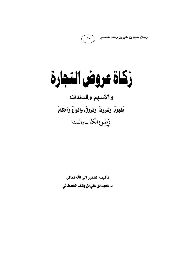رسائل سعيد بن علي بن وهف القحطاني

 $\epsilon$  V

# زكاة عروض التجارة والأسهم والسندات مَفهومٌ، وشَروطٌ، وفروقٌ، وأنـواعٌ،وأحكـامٌ وضوع الكتاب والسنة

تأليف الفقير إلى الله تعالى د. سعيد بن علي بن وهف القحطاني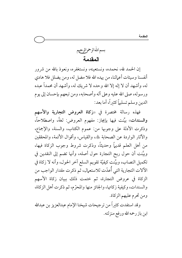بسماللهالرحمزالرحيم المقدمة

إن الحمد لله، نحمده، ونستعينه، ونستغفره، ونعوذ بالله من شرور أنفسنا وسيئات أعمالنا، من يهده الله فلا مضل له، ومن يضلل فلا هادي له، وأشهد أن لا إله إلا الله وحده لا شريك له، وأشهد أن محمداً عبده ورسوله، صلى الله عليه وعلى آله وأصحابه، ومن تبعهم بإحسان إلى يوم الدين وسلم تسليهاً كثبراً، أما بعد:

فهذه رسالة مختصرة في «زكاة العروض التجارية والأسهم والسندات» بيَّنت فيها بإيجاز: مفهوم العروض: لغةً، واصطلاحاً، وذكرت الأدلة على وجوبها من: عموم الكتاب، والسنة، والإجماع، والآثار الواردة عن الصحابة ﷺ، والقياس، وأقوال الأئمة، والمحققين من أهل العلم قديهاً وحديثاً، وذكرت شروط وجوب الزكاة فيها، وبيَّنت أن حول ربح التجارة حول أصله، وأنها تضم إلى النقدين في تكميل النصاب، وبيَّنت كيفيَّة تقويم السلع آخر الحول، وأنه لا زكاة في الآلات التجارية التي أُعدّت للاستعمال، ثم ذكرت مقدار الواجب من الزكاة في عروض التجارة، ثم ختمت ذلك ببيان زكاة الأسهم والسندات، وكيفية زكاتها، والجائز منها والمحرّم، ثم ذكرت أهل الزكاة، ومن تحرم عليهم الزكاة.

وقد استفدت كثيراً من ترجيحات شيخنا الإمام عبدالعزيز بن عبدالله ابن باز رحمه الله ورفع منزلته.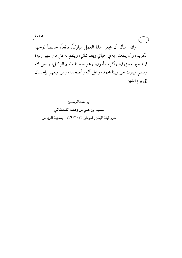المقدمة والله أسأل أن يجعل هذا العمل مباركاً، نافعاً، خالصاً لوجهه الكريم، وأن ينفعني به في حياتي وبعد مماتي، وينفع به كل من انتهى إليه؛ فإنه خير مسؤول، وأكرم مأمول، وهو حسبنا ونعم الوكيل، وصلى الله وسلم وبارك على نبينا محمد، وعلى آله وأصحابه، ومن تبعهم بإحسان إلى يوم الدين.

> أبو عبدالرحمن سعيد بن على بن وهف القحطاني حرر ليلة الإثنين الموافق ١٤٢٦/٣/٢٣ بمدينة الرياض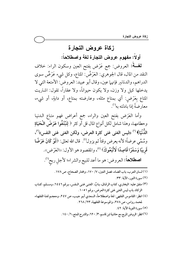## زكاة عروض التجارة

أولاً: مفهوم عروض التجارة لغة واصطلاحاً:

لمُغْـة: العروض: جمع عَرْض بفتح العين وسكون الراء: خلاف النقد من المال، قال الجوهري: العَرْضُ: المتاع، وكل شيء عَرْضٌ سوى الدراهم، والدنانير فإنهما عين، وقال أبو عبيد: العروض: الأمتعة التي لا يدخلها كيل ولا وزن، ولا يكون حيواناً، ولا عقاراً، تقول: اشتريت المتاع بِعَرْضِ: أي بمتاع مثله، وعارضته بمتاع، أو دابةٍ، أو شيء، معارضةً إذا بادلته به<sup>(١)</sup>.

وأما العَرَض بفتح العين والراء، جمع أعراض فهو متاع الـدنيـا وحطامهـا، وهذا شامل لكل أنواع المال قل أو كثر ﴿ لِتَبْتَغُوا عَرَضَ الْحَيَاةِ الدُّنْيَا﴾ ''' «ليس الغني غني كثرة العرض، ولكن الغني غني النفس»'<sup>''</sup>، وسُمِّي عرضاً؛ لأنه يعرض وقتاً ثم يزول ٰ ٗ قال الله تعالى: ﴿لَوْ كَانَ عَرَضًا قَرِيبًا وَسَفَرًا قَاصِدًا لَاتَّبَعُوكَ) (°)، والمقصود هو الأول: «العَرْض)). اصطلاحاً: العروض: هو ما أعد للبيع والشراء؛ لأجلِ ربح").

- (١) لسان العرب، باب الضاد، فصل العين، ٧/ ١٧٠، ومختار الصحاح، ص ١٧٨.
	- (٢) سورة النور، الآية: ٣٣.
- (٣) متفق عليه: البخاري، كتاب الرقاق، بـابٌ: الغنـى غنـى الـنفس، بـرقم ٢٤٤٦، ومسـلم، كتـاب الزكاة، باب ليس الغني غني كثرة العرض، برقم ١٠٥١.
- (٤) انظر : القاموس الفقهي: لغة واصطلاحاً، السعدي أبـو جيـب، ص ٢٤٧، ومعجـم لغـة الفقهـاء لحمد رواس، ص ٢٧٨، والموسوعة الفقهية، ٢٦٨ / ٢٦.
	- (٥) سورة التوبة الآية: ٤٢.
	- (٦) انظر: الروض المربع مع حاشية ابن قاسم، ٣/ ٦٢٠، والشرح الممتع، ٦/ ١٤٠.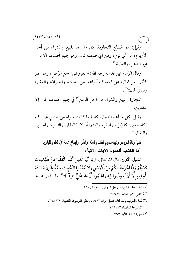وقيل: هو السلع التجارية، كلَّ ما أعد للبيع والشراء من أجلَّ الأرباح، من أي نوع، ومن أي صنف كان، وهو جميع أصناف الأموال غير الذهب والفضة<sup>(י)</sup>.

وقال الإمام ابن قدامة رحمه الله: «العروض: جمع عَرْض، وهو غير الأثيان من المال، على اختلاف أنواعه: من النباتِ، والحيوانُ، والعقار، وسائر المال»<sup>(۲)</sup>.

التجارة: البيع والشراء من أجل الربح<sup>(r)</sup> في جميع أصناف المال إلا النقدين.

وقيل: كل ما أعد للتجارة كائنة ما كانت سواء من جنسٍ تجب فيه زكاة العين: كالإبل، والبقر، والغنم، أو لا: كالعقار، والثياب، والحمير، والبغال<sup>(٤)</sup>.

ثانياً: زكاة العروض واجبة بعموم الكتاب والسنة، والآثار، وإجماع عامة أهل الطم والقياس. أما الكتاب فلعموم الآيات الآتية:

الدليل الأول: قال الله تعالى: ﴿ يَا أَيُّهَا الَّذِينَ آَمَنُوا أَنْفِقُوا مِنْ طَيِّبَاتِ مَا يَا أَيُّهَا الَّذِ كَسَبْتُمْ وَمِمَّا أَخْرَجْنَا لَكُمْ مِنَ الْأَرْضِ وَلَا تَيَمَّمُوا الْخَبِيثَ مِنْهُ تُنْفِقُونَ وَلَسْتُمْ بِآَخِذِيهِ إِلَّا أَنْ تُغْمِضُوا فِيهِ وَاعْلَمُوا أَنَّ الله غَنِيٌّ حَمِي غَنِيٌّ حَمِيدٌ ﴾<sup>(٥)</sup>. وقد فسر مجاهد ــــــــــــــــــــــــــــــــــــــــــــــــــــــــــــــــــــــــــــ

> (١) انظر : حاشية ابن قاسم على الروض المربع، ٣/ ٢٦٠. (٢) المغني، لابن قدامة، ٤/ ٢٤٩. (٣) لسان العرب، باب التاء، فصل الراء، ٢/ ١٩، وانظر : الموسوعة الفقهية، ٢٣/ ٢٦٨. (٤) الموسوعة الفقهية، ٢٦٨/ ٢٦٨. (٥) سورة البقرة، الآية: ٢٦٧.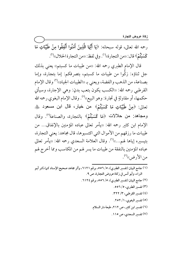زكاة عروض التجارة

رحمه الله تعالى، قوله سبحانه: ﴿يَا أَيُّهَا الَّذِينَ آَمَنُوا أَنْفِقُوا مِنْ طَيِّبَاتٍ مَا كَسَبْتُمْ﴾ قال: «من التجارة»<sup>(י)</sup>. وفي لفظ: «من التجارة الحلال»<sup>(٢)</sup>.

قال الإمام الطبري رحمه الله: «من طيبات ما كسبتم» يعني بذلك جل ثناؤه: زكُّوا من طيبات ما كسبتم، بتصرفكم: إما بتجارة، وإما بصناعة، من الذهب والفضة، ويعني بـ «الطيبات الجياد»<sup>(٣)</sup> وقال الإمام القرطبي رحمه الله: «الكسب يكون بتعب بدنٍ: وهي الإجارة، وسيأتي حكمها، أو مقاولةٍ في تجارة: وهو البيع))<sup>(؛)</sup>. وقال الإمام البغوي رحمه الله تعالى: ﴿مِنْ طَيِّبَاتٍ مَا كَسَبْتُمْ﴾ من خيار، قال ابن مسعود ﷺ ومجاهد: من حلالات ﴿مَا كَسَبْتُمْ﴾ بالتجارة، والصناعة<sup>(٥)</sup>. وقال الإمام ابن كثير رحمه الله: «يأمر تعالى عباده المؤمنين بالإنفاق... من طيبات ما رزقهم من الأموال التي اكتسبوها، قال مجاهد: يعني التجارة، بتيسيره إياها لهم....))<sup>(٦)</sup>. وقال العلامة السعدي رحمه الله: «يأمر تعالى عباده المؤمنين بالنفقة من طيبات ما يسر لهم من المكاسب ومما أخرج لهم من الأرض)'``.

(١) جامع البيان (تفسير الطبري)، ٥/ ٥٥٦، برقم ٦١٢١، وأثر مجاهد صحيح الإسناد كما ذكر أبو البراء، وأبو أنس في زكاة عروض التجارة، ص ٩. (٢) جامع البيان (تفسير الطبري)، ٥/ ٥٥٦، برقم ٢١٢٤. (۳) تفسير الطبري، ٥/ ٥٥٦. (٤) تفسير القرطبي، ٣/ ٣٢٢. (٥) تفسير البغوي، ٢٥٢/١. (٦) تفسير ابن كثير، ص ٢١٢، طبعة دار السلام. (٧) تفسير السعدي، ص ١١٥.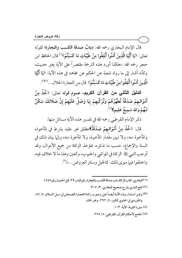قال الإمام البخاري رحمه الله: «بابُ صدقة الكسب والتجارة؛ لقوله تعالى: ﴿يَا أَيُّهَا الَّذِينَ آَمَنُوا أَنْفِقُوا مِنْ طَيِّبَاتِ مَا كَسَبْتُمْ ْيَا أَيُّهَا الَّذِينَ آَمَنُوا أَنْفِقُوا مِنْ طَيِّبَاتِ مَا كَسَبْتُمْ﴾ يَا أَيُّهَا الَّذِينَ آمَنُوا أَنْفِقُوا مِنْ طَيِّبَاتِ مَا كَسَبْتُمْ﴾''' قال الحافظ ابن حجرٍ رحمه الله: «هكذا أورد هذه الترجمة مقتصراً على الآية بغير حديث، وكأنه أشار إلى ما رواه شعبة عن الحكم عن مجاهد في هذه الآية: ﴿يَا أَيُّهَا ينَ آَمَنُوا أَنْفِقُو الَّذِينَ آَمَنُوا أَنْفِقُوا مِنْ طَيِّبَاتِ مَا كَسَبْتُمْ﴾ قال من التجارة الحلال...<sup>(٣)(٣)</sup>.

الدليل الثاني من القرآن الكريم، عموم قوله تعالى: ﴿خُذْ مِنْ أَمْوَالـهِمْ صَدَقَةً تُطَهِّرُهُمْ وَتُزَكِّيهِمْ بِهَا وَصَلِّ عَلَيْهِمْ إِنَّ صَلَاتَكَ سَكَنٌ لَـهَمْ وَاللهُ سَمِيعٌ عَلِيم يعٌ عَلِ<sub>ّ</sub> سَمِيعٌ عَلِيمٍ﴾(٤).

ذكر الإمام القرطبي رحمه الله في تفسير هذه الآية مسائل منها:

قال: ﴿خُمْذْ مِنْ أَمْوَالِهِمْ صَلَقَةً﴾مطلق غير مقيد بشرط في المأخوذ، والماخوذ منه، ولا تبين مقدار الماخوذ، ولا الماخوذ منه، وإنها بيان ذلك في السنة والإجماع، حسب ما نذكره، فتؤخذ الزكاة من جميع الأموال، وقد أوجب النبي ﷺ الزكاة في المواشي والحبوب، والعين وهذا ما لا خلاف فيه، واختلفوا فيها سوى ذلك: كالخيل وسائر العروض....))(°).

ــــــــــــــــــــــــــــــــــــــــــــــــــــــــــــــــــــــــــــ I 9WWY 7 q ;!7 ,Jx @! 7 ,
^. 76 @A ,X @ ,RS! -9 I MDBCM ,RS! ~\$%6 FiA R! ~= -J YW , CW ,b# ;!# #< #
# @#\_ w# #? ` # K m# # 0 -#p -M I { z\* ,JxJCW ,z!. R R>f I 9DM : K , A -W

(٥) الجامع لأحكام القرآن، للقرطبي، ٨/ ٢٢٨.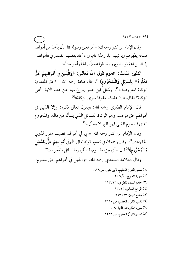وقال الإمام ابن كثير رحمه الله: «أمر تعالى رسوله ﷺ بأن يأخذ من أموالهم صدقة يطهرهم ويزكيهم بها، وهذا عام، وإن أعاد بعضهم الضمير في «أموالهم» إلى الذين اعترفوا بذنوبهم وخلطوا عملاً صالحاً وآخر سيئاً))''.

الدليل الثالث: عموم قول الله تعالى: ﴿وَالَّذِينَ فِى أَمْوَالـهِمْ حَقٌّ مَعْلُومٌ\* لِلسَّائِلِ وَالْمَحْرُومِ﴾'''. قال قتادة رحمه الله: «الحق المعلوم: الزكاة المفروضة»<sup>(٣)</sup>. وسُئلَ ابن عمر رض<sub>ي</sub>الله عنها عن هذه الآية: أهي الزكاة؟ فقال: «إن عليك حقوقاً سوى الزكاة»<sup>(٤)</sup>.

قال الإمام الطبري رحمه الله: «يقول تعالى ذكره: وإلا الذين في أموالهم حق مؤقت، وهو الزكاة، للسائل الذي يسأله من ماله، والمحروم الذي قد حرم الغِني فهو فقير لا يسأل»(°).

وقال الإمام ابن كثير رحمه الله: «أي في أموالهم نصيب مقرر لذوي الحاجات»<sup>(٦)</sup>. وقال رحمه الله في تفسير قوله تعالى: ﴿وَفِي أَمْوَالـهِمْ حَقٌّ لِلسَّائِل وَالْمَحْرُومِ﴾ (`' قال: «أي جزء مقسوم، قد أفرزوه للسائل والمُحروم» (^'. وقال العلامة السعدي رحمه الله: «والذين في أموالهم حق معلوم»

> (١) تفسير القرآن العظيم، لابن كثير، ص ٢٢٩. (٢) سورة المعارج، الآية: ٢٤. (٣) جامع البيان، للطبري، ٢٣/ ٦١٣. (٤) المرجع السابق، ٢٣/ ٦١٣. (٥) جامع البيان، ٦١٣/ ٦١٣. (٦) تفسير القرآن العظيم، ص ١٣٨٠. (٧) سورة الذاريات، الآية: ١٩. (٨) تفسير القرآن العظيم، ص ١٢٦٣.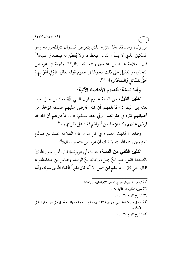من زكاة وصدقة، «للسائل» الذي يتعرض للسؤال «والمحروم» وهو المسكين الذي لا يسأل الناس فيعطوه، ولا يُفطن له فيتصدق عليه»'' قال العلامة محمد بن عثيمين رحمه الله: «الزكاة واجبة في عروض التجارة، والدليل على ذلك دخولها في عموم قوله تعالى: ﴿وَفِي أَمْوَالِـهِمْ حَقٌّ لِلسَّائِلِ وَالْمَحْرُومِ﴾ (١٢)

وأما السنة؛ فلعموم الأحاديث الآتية:

**الدليل الأول:** من السنة عموم قول النبي ﷺ لمعاذ بن جبل حين بعثه إلى اليمن: «فأعلمهم أن الله افترض عليهم صدقة تؤخذ من أغنيائهم فترد في فقرائهم›› وفي لفظ لمسلم: «… فأخبرهم أن الله قد فرض عليهم زكاة تؤخذ من أموالهم فترد على فقرائهم››<sup>(؛)</sup>.

وظاهر الحديث العموم في كل مال، قال العلامة محمد بن صالح العثيمين رحمه الله: «ولا شك أن عروض التجارة مال»<sup>(٥)</sup>.

الدليل الثاني من السنة، حديث أبي هريرة ، قال: أمر رسول الله ﷺ بالصدقة فقيل: منع ابنُ جميل، وخالد بنُ الوليد، وعباس بن عبدالمطلب، فقال النبي ﷺ : «ما ينقم ابن جميل إلا أنه كان فقيراً فأغناه الله ورسوله، وأما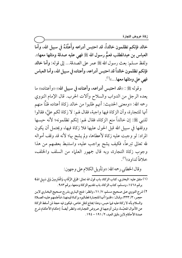خالد فإنكم تظلمون خالداً، قد احتبس أدراعه وأَعتُدَهُ في سبيل الله، وأما العباس بن عبدالمطلب فعمٌّ رسول الله ﷺ فهي عليه صدقة ومثلها معها». ولفظ مسلم: بعث رسول الله ﷺ عمر على الصدقة... إلى قوله: وأما خالد فإنكم تظلمون خالداً قد احتبس أدراعه، وأعتاده في سبيل الله، وأما العباس فهي على ومثلها معها...»<sup>(١)</sup>.

وقوله ﷺ : «قد احتبس أدراعه، وأعتاده في سبيل الله» «وأعتاده» ما يعده الرجل من الدواب والسلاح وآلات الحرب. قال الإمام النووي رحمه الله: «ومعنى الحديث: أنهم طلبوا من خالد زكاة أعتاده ظنًّا منهم أنها للتجارة، وأن الزكاة فيها واجبة، فقال لهم: لا زكاة لكم عليَّ، فقالوا للنبي ﷺ: إن خالداً منع الزكاة، فقال لهم: إنكم تظلمونه؛ لأنه حبسها ووقفها في سبيل الله قبل الحول عليها فلا زكاة فيها، ويحتمل أن يكون المراد: لو وجبت عليه زكاة لأعطاها، ولم يشح بها؛ لأنه قد وقف أمواله لله تعالى تبرعاً، فكيف يشح بواجب عليه، واستنبط بعضهم من هذا وجوب زكاة التجارة، وبه قال جمهور العلماء من السلف والخلف، خلافاً لداو د»<sup>(۲)</sup>.

وقال الخطابي رحمه الله: «وتأويل الكلام على وجهين:

- (١) متفق عليه: البخاري، كتاب الزكاة، باب قول الله تعالى: ﴿وَفِي الرِّقَابِ وَالْغَارِمِينَ وَفِي سَبِيلِ الله﴾ برقم ١٤٦٨، ومسلم، كتاب الزكاة، باب تقديم الزكاة ومنعها، برقم ٩٨٣.
- ٢ ) شرح النووي عـلى صـحيح مسـلم، ٧/ ٦١، وانظـر : فـتح البـاري بشر ـح صـحيح البخـاري لابـن حجر، ٣/ ٣٣٣، وقـال: «ظنـوا أنهـا للتجـارة فطـالبوه بزكـاة قيمتهـا، فـأعلمهم عليـه الصـلاة والسلام بأنه لا زكاة عليه فيها حبس، وهذا يحتاج لنقل خاص، فيكون فيه حجة لمن أسقط الزكاة عن الأموال المحبّسة، ولمن أوجبهـا في عـروض التجـارة»، وانظـر أيضـاً: إحكـام الأحكـام شرح عمدة الأحكام لابن دقيق العيد، ٢/ ١٩١ - ١٩٤.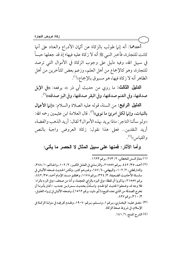أحدهما: أنه إنها طولب بالزكاة عن أثبان الأدراع والعتاد على أنها كانت للتجارة، فأخبر النبي ﷺ أنه لا زكاة عليه فيها؛ إذ قد جعلها حبساً في سبيل الله، وفيه دليل على وجوب الزكاة في الأموال التي ترصد للتجارة، وهو كالإجماع من أهل العلم، وزعم بعض المتأخرين من أهل الظاهر أنه لا زكاة فيها، هو مسبوق بالإجماع»''.

الدليل الثالث: ما روي من حديث أبي ذر ، يرفعه: «في الإبل صدقتها، وفي الغنم صدقتها، وفي البقر صدقتها، وفي البز صدقته))''.

الدليل الرابع: من السنة، قوله عليه الصلاة والسلام: «إنما الأعمال بالنيات، وإنما لكل امرئ ما نوي»''). قال العلامة ابن عثيمين رحمه الله: ((ولو سألنا التاجر : ماذا يريد بهذه الأموال؟ لقال: أريد الذهب والفضة، أريد النقدين.. فعلى هذا نقول: زكاة العروض واجبة بالنص والقياس»<sup>(؛)</sup>.

وأما الآثار : فمنـها علـى سبيل المثال لا الـحصر مـا يأتـى:

(١) معالم السنن للخطابي، ٢/ ٢٧٣، برقم ١٦٢٣.

- (٢) أحمد، ٣٥/ ٤٤٢، برقم ٢١٥٥٧، والترمذي في العلل الكبير، ٢/ ١٠٢، والحاكم، ١/ ٣٨٨، والدارقطني، ٢/ ١٠٢، والبيهقي، ٤/ ١٤٧، وغيرهم كثير، ولكن الحديث ضعفه الألباني في سلسلة الأحاديث الضعيفة، ٣/ ٣٢٤، برقم ١١٧٨، ومحققو مسند الإمام أحمد، ٣٥/ ٤٤٢، برقم ٢١٥٥٧، وذكروا أن لفظة «وفي البز» بالزاي المعجمة، و أما من صحف «وفي البر» بالراء: فلا وجه له، وضعفوا الحديث كما تقدم. واستُدلُّ بحديث سـمرة بـن جنـدب: «كـان يأمرنـا أن نخرج الصدقة من الذي نعده للبيع)، [أبو داود، برقم ١٥٦٢]، وضعفه الألباني في إرواء الغليل، ۰/ ۳۱۰)، برقم ۸۲۷.
- (٣) متفـق عليـه: البخـاري، بـرقم ١، ومسـلم، بـرقم: ١٩٠٧، وتقـدم تخريجـه في منزلـة الزكـاة في الإسلام، في شروط صحة الزكاة. (٤) الشرح الممتع، ١/ ١٤١.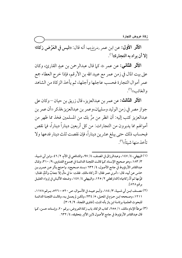الأَثْلِ الأَوْلِ: عن ابن عمر رضِيالله عِنها أنه قال: «ليس في العَرْضِ زِكاة؛ إلا أن يراد به التجارة))(').

**الأثر الثاني:** عن عمر ﷺ كما قال عبدالرحمن بن عبدٍ القارئ، وكان على بيت المال في زمن عمر مع عبيد الله بن الأرقم، فإذا خرج العطاء جمع عمر أموال التجارة فحسب عاجلها وآجلها، ثم يأخذ الزكاة من الشاهد والغائب»<sup>(۲)</sup>.

**الأثل الثالث:** عن عمر بن عبدالعزيز ، قال زريق بن حيان — وكان على جواز مصر في زمن الوليد وسليهان،وعمر بن عبدالعزيز،فذكر «أن عمر بن عبدالعزيز كتب إليه: أن انظر من مرَّ بك من المسلمين فخذ مما ظهر من أموالهم مما يديرون من التجارات: من كل أربعين ديناراً ديناراً، فما نقص فبحساب ذلك حتى يبلغ عشرين ديناراً، فإن نقصت ثلث دينار فدعها ولا تأخذ منها شيئاً))<sup>(٣)</sup>.

- (١) البيهقي، ٤/ ١٤٧، وعبدالرزاق في المصنف، ٤/ ٩٧، والشافعي في الأم، ٢/ ٤٦، وابن أبي شـيبة، ٣/ ١٨٣، وهو صحيح الإسناد كـما قالـت اللجنـة الدائمـة في مجمـوع الفتـاوي، ٩/ ٣١٠، وقـال عبدالقادر الأرنؤوط في جامع الأصول، ٤/ ٦٣٢ «بسند صحيح». واحتج بأثر عن عمرو بن حماس عن أبيه، قال: «أمرني عمر فقال: أدِّ زكاة مالك. فقلت: ما لي مالٌ إلا جعابٌ وأدَمٌ، فقـال: قوِّمها ثم أدِّ زكاتها›› [الدارقطني ٢/ ١٢٥، والبيهقي ٤/ ١٤٧، وضعفه الألباني في إرواء الغليل برقم ٨٢٨].
- (٢) مصـنف ابـن أبي شـيبة، ٣/ ١٨٤، وأبـو عبيـد في الأمـوال، ص ٥٢٠ –٤٢٦، بـرقم ١١٧٨، ١٢١١، وصححه ابن حزم في المحلي، ٥/ ٢٣٤، ولكن لم يعمل به، وقالت اللجنة الدائمة للبحوث العلمية برئاسة ابن باز بأنه ثابت، [فتاوى اللجنة، ٩/ ٣٠٩].
- (٣) موطأ الإمام مالك، ١/ ٢٥٥، كتاب الزكاة، باب زكاة العروض، برقم ٢٠، وإسناده حسن، كما قال عبدالقادر الأرنؤوط في جامع الأصول لابن الأثر بتحقيقه، ٤/ ٦٣٢.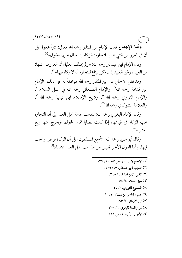وأما الإجماع فقال الإمام ابن المنذر رحمه الله تعالى: «وأجمعوا على أن في العروض التي تدار للتجارة: الزكاة إذا حال عليها الحول))(').

وقال الإمام ابن عبدالبر رحمه الله: «ولم يختلف العلماء أن العروض كلها: من العبيد، وغير العبيد إذا لم تكن تبتاع للتجارة أنه لا زكاة فيها»(").

وقد نقل الإجماع عن ابن المنذر رحمه الله موافقةً له على ذلك: الإمام ابن قدامة رحمه الله<sup>(٣)</sup> والإمام الصنعاني رحمه الله في سبل السلام<sup>(٤)</sup>، والإمام النووي رحمه الله<sup>(٥)</sup>، وشيخ الإسلام ابن تيمية رحمه الله<sup>(٦)</sup>، والعلامة الشوكاني رحمه الله'".

وقال الإمام البغوي رحمه الله: «ذهب عامة أهل العلم إلى أن التجارة تجب الزكاة في قيمتها، إذا كانت نصاباً تمام الحول، فيخرج منها ربع العشر ))<sup>(٨)</sup>.

وقال أبو عبيدٍ رحمه الله: «أجمع المسلمون على أن الزكاة فرض واجب فيها، وأما القول الآخر فليس من مذاهب أهل العلم عندنا))(").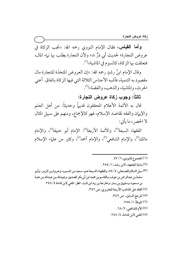**وأما القياس،** فقال الإمام النووي رحمه الله: «تجب الزكاة في عروض التجارة؛ لحديث أبي ذرٍّ ۞؛ ولأن التجارة يطلب بها نباء المال، فتعلقت بها الزكاة، كالسوم في الماشية))'".

وقال الإمام ابنُ رشدٍ رحمه الله: «إن العروض المتخذة للتجارة مال مقصود به التنمية، فأشبه الأجناس الثلاثة التي فيها الزكاة باتفاق. أعني الحرث، والماشية، والذهب، والفضة)ا".

ثالثاً: وجوب زكاة عروض التجارة:

قال به الأئمة الأعلام المحققون قديهاً وحديثاً: من أهل العلم والإيهان والفقه لمقاصد الإسلام، فهو كالإجماع، ومنهم على سبيل المثال لا الحصر ، ما يأتي:

الفقهاء السبعة<sup>(٣)</sup>، والأئمة الأربعة<sup>(٤)</sup>: الإمام أبو حنيفة<sup>(٥)</sup>، والإمام مالك'')، والإمام الشافعي'''، والإمام أحمد'''، وكثير من علماء الإسلام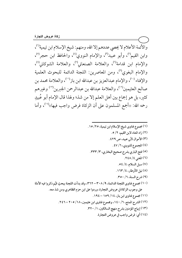والأئمة الأعلام لا يحصي عددهم إلا الله، ومنهم: شيخ الإسلام ابن تيمية'')، وابن القيم'')، وأبو عبيد''')، والإمام النووي'')، والحافظ ابن حجر'')، والإمام ابن قدامة<sup>(٦)</sup>، والعلامة الصنعاني<sup>(٧)</sup>، والعلامة الشوكاني<sup>(٨)</sup>، والإمام البغوي°′، ومن المعاصرين: اللجنة الدائمة للبحوث العلمية والإفتاء (١٠)، والإمام عبدالعزيز بن عبدالله ابن باز(١١)، والعلامة محمد بن صالح العثيمين''')، والعلامة عبدالله بن عبدالرحمن الجبرين''') وغيرهم كثير، بل هو إجماع بين أهل العلم إلا من شذ؛ ولهذا قال الإمام أبو عُبيدٍ رحمه الله: «أجمع المسلمون على أن الزكاة فرض واجب فيها»<sup>(١٤)</sup>، وأما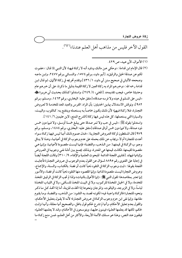القول الآخر فليس من مذاهب أهل العلم عندنا))<sup>(١)(٢)</sup>.

#### (١) الأموال، لأبي عبيد، ص ٢٩٩.

(٢) قال الإمام ابن قدامة: «وحكى عن مالك وداود أنه لا زكاة فيها؛ لأن النبي ﷺ قال: «عفوت لكم عن صدقة الخيل والرقيق». [أبو داود، برقم ١٥٧٤، والنسائي برقم ٢٤٧٧، وابن ماجه وصححه الألباني في صحيح سنن أبي داود، ١/ ٤٣٦ ] وتقدم تخريجه في زكاة الأثمان، ثم قـال ابـن قدامة رحمه الله: «وخبرهم المراد به زكاة العين لا زكاة القيمة بدليل ما ذكرنا، على أن خبرهم عام وحديثنا خاص، فيجب تقديمه». [المغنى، ٤/ ٢٤٩]، واستدلوا كـذلك بحـديث أبي هريـرة حُجُّه «ليس على المسلم في عبده ولا فرسه صدقة» [متفق عليه: البخاري، برقم ١٤٦٣، ومسلم، برقم ٩٨٢]، ونوقش الاستدلال بهذين الحديثين: بأن المراد: الفرس والعبد المعد للخدمة لا لعروض التجارة، فلا زكـاة فيهما؛ لأن ذلـك يكـون خاصـاً بـه يسـتعمله وينتفـع بـه: كـالثوب، والبيـت،

والسيارة التي يستعملها، كل هذه ليس فيها زكاة [الشرح الممتع، لابن عثيمين ٦/ ١٤١]. واستدلوا بقوله ﷺ: «ليس في حب ولا ثمر صدقة حتى يبلغ خمسة أوسـق، ولا فـيما دون خمس ذود صدقة، ولا فيها دون خمس أواق صدقة،) [متفق عليه: البخاري، برقم ١٤٨٤، ومسلم، برقم ٩٧٩] قال المسقطون لزكاة العروض التجارية: «فدل عموم ذلك أنها ليس فيها زكاة سواء أعدت للتجارة أم لا، ويجاب عن ذلك بحمله على عدم وجوب الزكاة في أعيانها، وهذا لا ينافي وجو ب الزكاة في قيمتهـا: مـن الـذهب، والفضـة؛ فإنهـا ليسـت مقصـودة لأعيانهـا، وإنـما هـي مقصودة لقيمتها، فكانت قيمتها هي المعتبرة، وبذلك يجمع بين أدلـة نفـي وجوبهـا في العـروض وإثباتها فيها». [فتاوى اللجنة الدائمة للبحوث العلمية والإفتاء، ٩/ ٣١٠] وقالت اللجنة أيضـاً في إجابة على الفتوى رقم ٨٨٩٥ لسؤال عن القول بعدم الوجوب في عروض التجارة فأجابت اللجنة بقولها: «ثبت وجوب الزكاة في النقود ذهباً كانت أو فضة: بالكتـاب، والسـنة، والإجماع، وعروض التجارة ليست مقصودة لذاتها، وإنها المقصود منها النقود ذهباً كانت أو فضة، والأمور إنما تعتبر بمقاصدها؛ لقول النبي ﷺ: «إنما الأعمال بالنيات» ولذا لم تجب الزكاة في الرقيق المتخذ للخدمة، ولا في الخيل المتخذة للركوب، ولا في البيت المتخذ للسكني، ولا في الثياب المتخذة لباساً، ولا في الزبرجد، والياقوت، والمرجان ونحوها إذا اتخذت للزينة، أما إذا اتَّخذ كل ما ذكر ونحوه للتجارة فالزكاة واجبة فيه؛ لكونه قصد به النقود: من الذهب، والفضة، وما يقوم مقامها، وإنها نفي ابن حزم وجوب الزكاة في عروض التجارة؛ لأنه لا يقول بتعليل الأحكام، والقول بعدم تعليل الأحكام، وأنها لم تشرع لحكم قول باطل، والصحيح أنها معللة، وأنها نزلت لحكم، لكنها قد يعلمها العلماء فيبنون عليها، ويتوسعون في الأحكام، وقـد لا يعلمهـا العلـماء فيقفون عند النص، وهذا هو مسلك الأئمة الأربعة، والأكثر من أهل العلم، فمن منع زكاة ما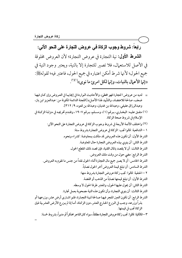## رابعاً: شروط وجوب الزكاة في عروض التجارة على النحو الآتي:

**الشرط الأول:** نية التجارة في عروض التجارة؛ لأن العروض مخلوقة في الأصل للاستعمال، فلا تصبر للتجارة إلا بالنية، ويعتبر وجود النية في جميع الحول؛ لأنها شرط أمكن اعتباره في جميع الحول، فاعتبر فيه؛ لقولهﷺ: «إنها الأعمال بالنيات، وإنها لكل امرئ ما نوى»<sup>(١/ ٣)</sup>.

- = لديه من عروض التجارة فهو مخطئ، والأحاديث الـواردة في إيجابهـا في العـروض وإن كـان فيهـا ضعف، صالحة للاعتضاد، والتأييد لهذا الأصل» [اللجنة الدائمة المكونة من: عبدالعزيز ابن باز، وعبدالرزاق عفيفي، وعبدالله بن غديان، وعبدالله بن قعود، ٩/ ٣١٢].
- (١) متفـق عليـه: البخـاري، بـرقم (١)، ومسـلم، بـرقم ١٩٠٧، وتقـدم تخريجـه في منزلـة الزكـاة في الإسلام في شروط صحة الزكاة.
- (٢) واختلف الأئمة الأربعة في شروط وجوب الزكاة في عروض التجارة على النحو الآتي: ١ – الشافعية: قالوا تجب: الزكاة في عروض التجارة بشر وط ستة: الشرط الأول: أن تكون هذه العروض قد ملكت بمعاوضة: كشر اء ونحوه. الشرط الثاني: أن ينوى بهذه العروض التجارة حال المعاوضة. الشرط الثالث: أن لا يقصد بالمال القنية، فإن قصد ذلك انقطع الحول. الشرط الرابع: مضى حول من وقت ملك العروض. الشر ط الخامس: أن لا يصير جميع مال التجارة أثناء الحول نقداً من جنس ما تقوم به العروض. الشرط السادس: أن تبلغ قيمة العروض آخر الحول نصاباً. ٢ – الحنفية: قالوا: تجب زكاة عروض التجارة بشروط منها: الشرط الأول: أن تبلغ قيمتها نصاباً من الذهب أو الفضة. الشرط الثاني: أن يحول عليها الحول، والمعتبر طرفا الحول لا وسطه. الشرط الثالث: أن ينوى التجارة، وأن تكون هذه النية مصحوبة بعمل تجارة. الشرط الرابع: أن تكون العين المتجر فيها صـالحة لنيـة التجـارة، فلـو اشـترى أرض عشر ـ وزرعهـا أو بذراً وزرعه، وجب في الـزرع الخـارج العشر ـ دون الزكـاة، أمـا إذا لم يـزرع الأرض العشر ـية فـإن الزكاة تجب في قيمتها. ٣ –المالكية: قالوا: تجب زكاة عروض التجارة مطلقاً، سواء كان التاجر محتكراً أو مديراً، بشر وط خمسة: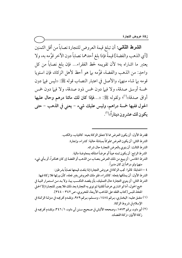الشرط الثاني: أن تبلغ قيمة العروض للتجارة نصاباً من أقل الثمنين [أي الذهب والفضة] قيمةً فإذا بلغ أحدهما نصاباً دون الآخر قوَّمه به، ولا يعتبر ما اشتراه به؛ لأن تقويمه لحظ الفقراء... فإن بلغ نصاباً من كل واحدٍ: من الذهب والفضة، قوَّمه بـما هو أحظ لأهل الزكاة، فإن استويا قومه بها شاء منهها، والأصل في اعتبار النصاب قوله ﷺ: «ليس فيها دون خمسة أوسق صدقة، ولا فيها دون خمس ذود صدقة، ولا فيها دون خمس أواق صدقة»<sup>(י)</sup>؛ ولقوله ﷺ: «…فإ**ذا كان لك مائتا درهم وحال عليها** الحول ففيها خمسة دراهم، وليس عليك شيء – يعني في الذهب – حتى يكون لك عشر ون ديناراً»'".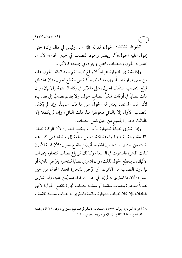الشرط الثالث: الحول؛ لقوله ﷺ: «…وليس في مال زكاة حتى يحول عليه الحول»<sup>(י)</sup>، ويعتبر وجود النصاب في جميع الحول؛ لأن ما اعتبر له الحول والنصاب، اعتبر وجوده في جميعه، كالأثمان.

وإذا اشترى للتجارة عرضاً لا يبلغ نصاباً ثم بلغه انعقد الحول عليه من حين صار نصاباً، وإن ملك نصاباً فنقص انقطع الحول، فإن عاد فنها فبلغ النصاب استأنف الحول، على ما ذكر في زكاة السائمة والأثران، وإن ملك نصاباً في أوقات فلكلِّ نصابٍ حول، ولا يضم نصابٌ إلى نصاب؛ لأن المال المستفاد يعتبر له الحول على ما ذكر سابقاً، وإن لم يَكْمُل النصاب الأول إلا بالثاني فحولها منذ ملك الثاني، وإن لم يكملا إلا بالثالث فحول الجميع من حين كمل النصاب.

وإذا اشترى نصاباً للتجارة بآخر لم ينقطع الحول؛ لأن الزكاة تتعلق بالقيمة، والقيمة فيهما واحدة انتقلت من سلعة إلى سلعة، فهي كدراهم نقلت من بيت إلى بيت، وإن اشتراه بأثمان لم ينقطع الحول؛ لأن قيمة الأثمان كانت ظاهرة فاستترت في السلعة، وكذلك لو باع نصاب التجارة بنصاب الأثمان، لم ينقطع الحول لذلك، وإن اشترى نصاباً للتجارة بعَرْض للقنية أو بيها دون النصاب من الأثيان، أو عَرْض للتجارة انعقد الحول من حين الشراء؛ لأن ما اشترى به لم يجر في حول الزكاة، فلم يُبنَ عليه، ولو اشترى نصاباً للتجارة بنصاب سائمة أو سائمة بنصاب تجارة انقطع الحول؛ لأنهما مختلفان، فإن كان نصاب التجارة سائمة فاشترى به نصاب سائمة للقنية لم

<sup>(</sup>١) أخرجه أبو داود، برقم ١٥٧٣، وصححه الألباني في صحيح سنن أبي داود، ١/ ٤٣٦، وتقدم تخريجه في منزلة الزكاة في الإسلام في شروط وجوب الزكاة.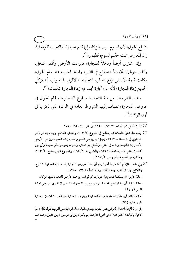ينقطع الحول؛ لأن السوم سبب للزكاة، إنها قدم عليه زكاة التجارة لقوَّته فإذا زال المعارض ثبت حكم السوم؛ لظهوره''.

وإن اشترى أرضاً ونخلاً للتجارة، فزرعت الأرض وأثمر النخل، واتفق حولها: بأن بدأ الصلاح في الثمر، واشتد الحب، عند تمام الحول، وكانت قيمة الأرض تبلغ نصاب التجارة، فالأقرب للصواب أنه يزكِّي الجميع زكاة التجارة؛ لأنه مال تجارة تجب فيه زكاة التجارة كالسائمة<sup>(٢)</sup>.

وهذه الشروط: من نية التجارة، وبلوغ النصاب، وتمام الحول في عروض التجارة، تضاف إليها الشروط العامة في الزكاة التي ذكرتها في أو ل الز كاة))<sup>(٣)</sup>.

- (٢) وقدم هذا القول العلامة ابـن مفلـح في الفـروع، ٢٠٣/٤، واختـاره القـاضي وجـزم بـه كـما ذكـر المرداوي في الإنصاف، ٧/ ٦٩، وقيل: بل يزكي الثمر والحب زكـاة العشر ـ، ويزكـي الأرض الأصل زكاة القيمة، وقدمه في المغني، والكافي، بل اختاره ونصره، وهو قـول أبي حنيفـة وأبي ثـور [انظر : المغني لابـن قدامـة، ٤/ ٢٥٦، والكـافي لـه، ٢/ ١٦٤، والفـروع لابـن مفلـح، ٢٠٣/ ٢٠٣، وحاشية ابن قاسم على الروض، ٣/ ٢٦٧].
- (٣) وفي مذهب الإمام أحمد شرط آخر: وهو أن يملك عروض التجارة بفعله، بنية التجارة: كـالبيع، والنكاح، وقبول الهدية، ونحو ذلك. وهذه المسألة لها ثلاث حالات: الحالة الأولى: أن يملكها بفعله بنية التجارة، كما لو اشترى هذه الأرض للتجارة ففيها الزكاة. الحالة الثانية: أن يملكها بغير فعله كالمراث، وينويها للتجارة، فالمذهب لا تكون عروض تجارة فليس فبها زكاة. الحالة الثالثة: أن يملكها بفعله بغير نية التجارة ثـم ينويهـا للتجـارة، فالمذهب لا تكـون للتجـارة فليس عليها زكاة. وفي رواية للإمام أحمد أن العرض يصير للتجارة بمجرد النية، وهذه الروايـة هـي أقـرب؛ لقولـه ﷺ: «إنـما الأعمال بالنيات» [متفق عليه] وهي التبي اختارهـا: أبـو بكـر، وابـن أبي موسـى، وابـن عقيـل، وصـاحب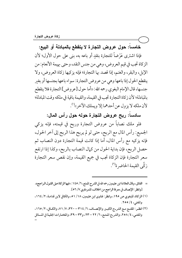خامساً: حول عروض التجارة لا ينقطع بالمبادلة أو البيع:

فإذا اشترى عَرْضاً للتجارة بنقدٍ أو باعه به، بني على حول الأول؛ لأن الزكاة تجب في قيم العروض، وهي من جنس النقد، وحتى بهيمة الأنعام: من الإبل، والبقر، والغنم، إذا قصد بها التجارة؛ فإنه يزكيها زكاة العروض، ولا ينقطع الحول إذا باعها وهي من عروض التجارة: سواء باعها بجنسها أو بغبر جنسها، قال الإمام البغوي رحمه الله: «أما حول [عروض] التجارة فلا ينقطع بالمبادلة؛ لأن زكاة التجارة تجب في القيمة، والقيمة باقية في ملكه وقت المبادلة؛ لأن ملكه لا يزول عن أحدهما إلا ويملك الآخر»''.

سادساً: ربح عروض التجارة حوله حول رأس المال:

فلو ملك نصاباً من عروض التجارة وربح في قيمته، فإنه يزكى الجميع: رأس المال مع الربح، حتى لو لم يربح هذا الربح إلى آخر الحول، فإنه يزكيه مع رأس المال، أما إذا كانت قيمة التجارة دون النصاب ثم حصل الربح، فإن بداية الحول من كمال النصاب بالربح، وكذا إذا ارتفع سعر التجارة فإن الزكاة تجب في جميع القيمة، وإن نقص سعر التجارة زكَّى القيمة الحاضر ة<sup>(٢)</sup>.

- = الفائق، وقال العلامة ابن عثيمين رحمه الله في الشرح الممتع، ٦/ ١٤٥: «فيها الزكاة عـلى القـول الـراجح». [وانظر : الإنصاف في معرفة الراجح من الخلاف، للمر داوي ٧/ ٥٦].
- (١) الزكاة، للبغوي ص ١٩٥، وانظر : فتاوى ابن عثيمين، ١٨/ ٥١، والكافي لابن قدامة، ٢/ ١٦٤، والمغنى، ٤/ ٢٥٥.
- (٢) انظر: المقنع مع الشر-ح الكبير والإنصاف، ٦/ ٣١٤-٣٢٠، ٧/ ٧١، والكافي، ٢/ ٢٥، والمغنى، ٤/ ٢٥٨، والشر-ح الممتـع، ٦/ ٢٢ – ٢٣، و٣٣ – ٣٩، والمختـارات الجليـة في المسـائل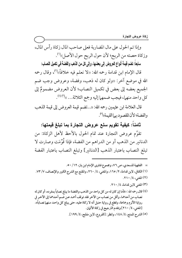وإذا تم الحول على مال المضاربة فعلى صاحب المال زكاة رأس المال، وزكاة حصته من الربح؛ لأن حول الربح حول الأصل»''.

سابعاً: تضم قيمة أنواع العروض إلى بعضها، وإلى كل من الذهب والفضة فى تكميل النصاب:

قال الإمام ابن قدامة رحمه الله: «لا نعلم فيه خلافاً»<sup>(٢)</sup>، وقال رحمه الله في موضع آخر: «ولو كان له ذهب، وفضة، وعروض وجب ضم الجميع بعضه إلى بعض في تكميل النصاب؛ لأن العروض مضمومٌ إلى كل واحد منهما، فيجب ضمهما إليه وجمع الثلاثة... .)ا(٣) ك

قال العلامة ابن عثيمين رحمه الله: «…تضم قيمة العروض إلى قيمة الذهب والفضة؛ لأن المقصود بها القيمة»(°).

ثامناً: كيفية تقويم سلع عروض التجارة بما تبلغ قيمتها:

تقوَّم عروض التجارة عند تمام الحول بالأحظ لأهل الزكاة: من الدنانير من الذهب أو من الدراهم من الفضة، فإذا قُوِّمَت وصارت لا تبلغ النصاب باعتبار الذهب [الدنانير] وتبلغ النصاب باعتبار الفضة

- = الفقهية للسعدي، ص ٧٦، ومجموع فتاوى الإمام ابن باز، ١٢/ ٥٠.
- (١) الكافي، لابن قدامة، ٢/ ١٦٥، والمغنى، ٤/ ٢٦٠، والمقنع مع الشرح الكبير والإنصاف، ٧/ ٧٣. (٢) المغنى، ٤/ ٢١٠.
	- (٣) المغنى لابن قدامة، ٤/ ٢١٠.
- (٤) قال رحمه الله: «فأما إن كان له من كل واحد من الذهب والفضة ما يبلغ نصاباً بمفرده، أو كان له نصاب من أحدهما، وأقل من نصاب من الآخر فقد توقف أحمد عـن صّـم أحـدهما إلى الآخـر في رواية الأثرم وجماعة، وقطع في رواية حنبل أنه لا زكاة عليه، حتى يبلغ كل واحـد مـنهـم نصـاباً». [المغنى، ٤/ ٢١٠] وتقدم الترجيح في زكاة الأثمان. (٥) الشرح الممتع، ٤/ ١٤٨، وانظر: [الفروع، لابن مفلح، ٤/ ١٩٩].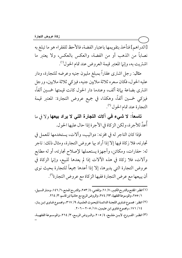[الدراهم] فنأخذ بتقويمها باعتبار الفضة، فالأحظ للفقراء هو ما تبلغ به نصاباً من الذهب أو من الفضة، والعكس بالعكس، ولا يعتبر ما اشتريت به، وإنها المعتبر قيمة العروض عند تمام الحول (').

مثال: رجل اشترى عقاراً بمبلغ مليون جنيه وعرضه للتجارة، ودار عليه الحول، فكان سعره ثلاثة ملايين جنيه، فيزكي ثلاثة ملايين، ورجل اشترى بضاعة بيائة ألف، وعندما دار الحول كانت قيمتها خمسين ألفاً، فيزكي خمسين ألفاً، وهكذا، في جميع عروض التجارة: المعتبر قيمة التجارة عند تمام الحول (٢).

تاسعاً: لا شيء في آلات التجارة التي لا يراد بيعها ولا في ما أُعدَّ للأجرة، ولكن الزكاة في الأجرة إذا حال عليها الحول.

فإذا كان التاجر له في مخزنه: دواليب، وآلات، يستخدمها للعمل في تجارته، فلا زكاة فيها إلا إذا أراد بها عروض التجارة، ومثال ذلك: تاجر له: حفارات، ومكائن، وأجهزة يستعملها لإصلاح تجارته، أو له مطابع وآلات، فلا زكاة في هذه الآلات إذا لم يعدها للبيع، وإنيا الزكاة في عروض التجارة التي يديرها، إلا إذا أعدها جميعاً للتجارة بحيث نوى أن يبيعها مع عرض التجارة ففيها الزكاة مع عروض التجارة<sup>(٣)</sup>.

- (١) انظـر : المقنـع والشر-ح الكبـير، ٧/ ٦١، والمغنـي، ٤/ ٢٥٣، والشر-ح الممتـع، ٦/ ١٤٦، ومنـار السـبيل، ١/ ٢٥٥، والموسوعة الفقهية، ٢٣/ ٢٧٤، والروض المربع مع حاشية ابن قاسم، ٣/ ٢٦٤.
- (٢) انظر : مجموع فتـاوى اللجنـة الدائمـة للبحـوث العلميـة، ٩/ ٣١٧، ومجمـوع فتـاوى ابـن بـاز، ١٤/ ١٧١، ومجموع فتاوى ابن عثيمين، ١٨/ ٢٠٥ – ٢٠٢.

(٣) انظـر: الفـروع، لابــن مفلــح، ٤/ ٢٠٥، والـروض المربــع، ٣/ ٢٦٤، والموســوعة الفقهيــة،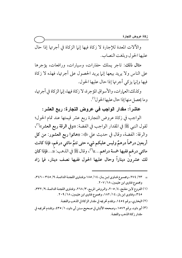والآلات المعدة للإجارة لا زكاة فيها إنها الزكاة في أجرتها إذا حال عليها الحول وبلغت النصاب.

مثال ذلك: تاجر يملك حفارات، وسيارات، ورافعات، يؤجرها على الناس ولا يريد بيعها إنها يريد الحصول على أجرتها، فهذه لا زكاة فيها وإنها يزكى أجرتها إذا حال عليها الحول.

وكذلك:العمارات، والأسواق المؤجرة، لا زكاة فيها، إنها الزكاة في أجرتها، وما يحصل منها إذا حال عليها الحو ل''.

عاشراً: مقدار الواجب في عروض التجارة: ربع العشر:

الواجب في زكاة عروض التجارة ربع عشر قيمتها عند تمام الحول؛ لقول النبي ﷺ في المقدار الواجب في الفضة: «وفي الرقة ربع العشر»'')، والرقة: الفضة، وقال في حديث على ﷺ: «هاتوا ربع العشور: من كل أربعين درهماً درهمٌ وليس عليكم شيء حتى تتمَّ مائتي درهَم، فإذا كانت مائتي درهَم ففيها خمسة دراهم....))<sup>(٣)</sup>، وقال ﷺ في الذهب: «...فإذا كان لك عشرون ديناراً وحال عليها الحول ففيها نصف دينار، فما زاد

- = ٢٣/ ٢٧٤، ومجموع فتـاوى ابـن بـاز، ١٤/ ١٨٥، وفتـاوى اللجنـة الدائمـة، ٩/ ٣٤٥-٣٤٦، ومجموع فتاوى ابن عثيمين، ٢٠٧ / ٢٠٧.
- (١) الفروع لابن مفلح، ٤/ ٢٠٥، والروض المربع، ٣/ ٢٦٨، وفتاوى اللجنة الدائمة، ٩/ ٣٣٢، ۴٤٥، وفتاوى ابن باز، ١٤/ ١٨٢، ومجموع فتآوى ابن عثيمين، ١٨/ ٢٠٩.
	- (٢) البخاري، برقم ٢٥٤، ٥ وتقدم تخريجه في مقدار الزكاة في الذهب والفضة.
- (٣) أبو داود، برقم ١٥٧٢، وصححه الألباني في صحيح سنن أبي داود، ١/ ٤٣٥، وتقدم تخريجه في مقدار زكاة الذهب والفضة.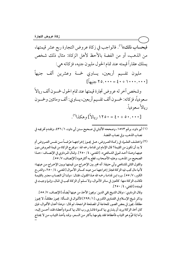فبحساب ذلك»<sup>(י)</sup>. فالواجب في زكاة عروض التجارة ربع عشر قيمتها، من الذهب، أو من الفضة بالأحظ لأهل الزكاة: مثال ذلك شخص يملك عقاراً قيمته عند تمام الحول مليون جنيه، فزكاته هي:

مليون تقسيم أربعين، يساوي خمسة وعشرين ألف جنيهاً  $[4x + 10.111 + 20.111]$   $\left[\frac{1}{2}x + 10.111 + 20.1111 + 20.1111 + 20.1111 + 20.1111 + 20.1111 + 20.1111 + 20.1111 + 20.1111]$ 

وشخص آخر له عروض تجارة قيمتها عند تمام الحول خمسون ألف ريالاً سعودياً، فزكاته: خمسون ألف تقسيم أربعين، يساوي: ألف ومائتين وخمسون ريالاً سعو دياً.

 $(1^{\prime\prime})$ وهکذا $\cdot\cdot\cdot\cdot\cdot\in\{1,2^{\prime\prime}\}$  وهکذا $(2^{\prime\prime})$ .

- (١) أبو داود، برقم ١٥٧٣، وصححه الألباني في صحيح سنن أبي داود، ١/ ٤٣٦، وتقدم تخريجه في نصاب الذهب، وفي نصاب الفضة.
- (٢) واختلـف العلـماء في زكـاة العـروض، هـل يجـوز إخراجهـا عرْضـاً مـن نفـس العـروض أم لا بد أن تكون من القيمة؟ قال الإمام ابن قدامة رحمه الله: «ويخرج الزكاة من قيمة العروض دون عينها وهـذا أحـد قـولي الشـافعي». [المغنـي، ٢٥٠/٤]. وقـال المرداوي في الإنصـاف: «هـذا الصحيح من المذهب، وعليه الأصحاب، قطع به أكثرهم،، [الإنصاف، ٧/ ٥٥]. والقول الثاني للشافعي وأبي حنيفة: أنه مخير بين الإخراج من قيمتها وبين الإخراج مـن عينهـا؛ لأنها مال تجب فيه الزكاة فجاز إخراجها من عينه كسائر الأموال [المغنى، ٤/ ٢٥٠، والشرح الكبير، ٧/ ٥٥]. ورد ابن قدامـة رحمه الله هـذا القـول، فقـال: «ولنـا أن النصـاب معتـبر بالقيمـة فكانت الزكاة منها: كالعين في سائر الأموال، ولا نسلم أن الزكاة تجب في المال، وإنـما وجبـت في قيمته)) [المغنى، ٤/ ٥٠].

وقال المرداوي: «وقال الشيخ تقي الدين: ويجوز الأخذ من عينها أيضاً» [الإنصاف، ٧/ ٥٥]. وذكر شيخ الإسلام في الفتـاوي الكـبري، [١/ ٢٩٩] الأقـوال في المسألة: يجـوز مطلقـاً، لا يجـوز مطلقاً، يجوز في بعض الصور للحاجة أو المصلحة الراجحة، ثم قال: «وهذا أعدل الأقـوال، فـإن كان آخذ الزكاة يريد أن يشتري بها كسوة فاشترى رب المال بها كسوة وأعطاه فقد أحسن إليه، وأما إذا قوَّم هو الثياب فأعطاها فقد يقومهـا بـأكثر مـن السـعر، وقـد يأخـذ الثيـاب مـن لا يحتـاج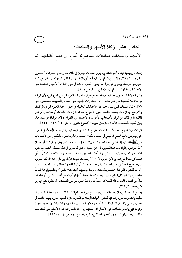### الحادي عشر : زكاة الأسهم والسندات:

الأسهم والسندات معاملات معاصرة، تحتاج إلى فهم لحقيقتها، ثم

= إليها، بل يبيعها فيغرم أجرة المنادي، وربها خسرت فيكون في ذلك ضرر على الفقراء» [الفتـاوي الكبرى، ١/ ٢٩٩] وذكر عن شيخ الإسلام أيضاً في الاختيارات الفقهية: «ويجوز إخراج زكـاة العروض عرضاً، ويقوى على قول من يقـول: تجب الزكـاة في عـين المـال» [الأخبـار العلميـة مـن الاختيارات الفقهية، لشيخ الإسلام ابن تيمية، ص ١٥١]. وقال العلامة السعدي رحمه الله: «والصحيح جواز دفع زكاة العروض من العروض؛ لأن الزكاة مواساة فلا يكلفها من غير ماله... » [المختارات الجلية من المسائل الفقهية، للسعدي، ص ٧٧]. وقـال شـيخنا ابـن بـاز رحمه الله: «اختلـف العلـهاء في جـواز أخـذ العـروض في الزكـاة، والأرجح جواز ذلك بحسب السعر حين الإخراج، سواء كان ذلك: طعاماً، أو ملابس، أو غــر ذلك؛ لما في ذلك من الرفق بأصحاب الأموال، والإحسان إلى الفقراء؛ ولأن الزكاة مواساة، فلا يليق تكليف أصحاب الأموال بما يشق عليهم›› [مجموع فتاوى ابن باز، ١٤/ ٢٤٩ - ٢٥٤]. قال الإمـام البخـاري رحمه الله: «بـابٌ: العـرض في الزكـاة، وقـال طـاوس قـال معـاذ ترالي الله عنه: `` ائتوني بعرضٍ ثيابٍ خيصٍ أو لبيسٍ في الصـدقة مكـان الشـعير والـذرة، أهـون علـيكم وخـير لأصـحاب النبي ﷺ بالمدينة». [البخاري، بعـد الحـديث رقـم ١٤٤٧]. قولـه: بـاب العـروض في الزكـاة: أي جـواز أخذ العرض، والمراد به ما عدا النقدين. قال ابن رشيد: وافق البخاري في هـذه المسألة الحنفيـة مـع كثـرة مخالفته لهم، لكن قاده إلى ذلك الدليل، وقد أجاب الجمهور عن قصـة معـاذ، وعـن الأحاديـث كـما سـيأتي عقب كل منها [فتح الباري لابن حجر، ٣/ ٣١٢] وسمعت شيخنا الإمام ابن بـاز رحمه الله أثنـاء تقريـره على صحيح البخاري، قبل الحديث رقم ١٤٤٨: يذكر أن الزكاة يجوز إعطائها من العروض عند الحاجة للفقير، فلـو كـان عنـده ريـال مـثلاً، وأراد أن يعطيهـا الأيتـام فـلابـأس أن يعطـيهم إياهـا طعامـاً لحاجتهم، وكذا لو كان الفقير سفيهاً، وحديث معاذ حجة: أنه إذا رأى العامل أخذ الملابس، أو الطعـام، بدلاً من الصدقة للحاجة فله ذلك؛ لأن معاذاً كان يأخـذ العـروض مـن الصـدقة». [وانظـر : فـتح البـاري لابن حجر، ٣/ ٣١٢].

وسئل شيخنا ابـن بـاز رحمه الله، عـن موضـوع صرف مبـالغ الزكـاة؛ لشريـاء مـواد غذائيـة وعينيـة: كالبطانيات، والملابس، وصر فها لبعض الجهات الإسلامية الفقيرة، مثل: السودان، وإفريقيا، خاصـة في الحالات التبي لا تتوفر المواد الغذائية بأسعار معقولة في تلك البلدان، أو تكـاد تكـون معدومـة، وإن توفرت فهي بأسعار مضاعفة عن الأسعار التي تصلهم بها... فأجاب رحمه الله: «لا مـانع مـن ذلـك بعـد التأكد من صر فها في المسلمين، أثابكم الله وتقبل منكم» [مجموع فتاوى ابن باز، ١٤/ ٢٤٦].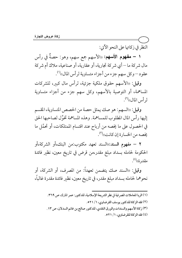النظر في زكاتها على النحو الآتي:

١ – مفهوم الأسهم: «الأسهم جمع سهم، وهو: حصةٌ في رأس مال شركة ما — أي شركة تجارية، أو عقارية، أو صناعية، ملاك أم شركة عقود—وكل سهم جزء من أجزاء متساوية لرأس المال»''.

وقيل: «الأسهم حقوق ملكية جزئية، لرأس مال كبير، للشركات المساهمة، أو التوصية بالأسهم، وكل سهم جزء من أجزاء متساوية لر أس المال»<sup>(۲)</sup>.

وقيل: «السهم: هو صك يمثل حصة من الحصص المتساوية، المقسم إليها رأس المال المطلوب للمساهمة. وهذه المساهمة تخوِّل لصاحبها الحق في الحصول على ما يخصه من أرباح عند اقتسام الممتلكات، أو تحمَّل ما يخصه من الخسارة إن كانت))<sup>(٣)</sup>.

٢ – مفهوم السند:«السند تعهد مكتوب:من البنك،أو الشركة،أو الحكومة لحامله بسداد مبلغ مقدر،من قرض في تاريخ معين، نظير فائدة  $\tilde{\mathcal{L}}^{(i)}$ مقلىر ة))

وقيل: «السند صك يتضمن تعهداً: من المصرف، أو الشركة، أو نحوهما لحامله بسداد مبلغ مقدر، في تاريخ معين، نظير فائدة مقدرة غالباً،

> (١) الربا المعاملات المصر فية في نظر الشريعة الإسلامية، للدكتور: عمر المترك، ص ٣٦٩. (٢) فقه الزكاة للدكتور يوسف القرضاوي، ١/ ٥٢١. (٣) زكاة الأسهم والسندات والورق النقدي، للدكتور صالح بن غانم السدلان، ص ١٣. (٤) فقه الزكاة للقرضاوي، ١/ ٥٢١.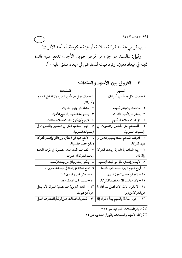بسبب قرضٍ عقدته شركة مساهمة، أو هيئة حكومية، أو أحد الأفراد،'''. وقيل: «السند هو جزء من قرض طويل الأجل، تدفع عليه فائدة

ثابتة في ميعاد معين، وترد قيمته للمقرض في ميعاد متفق عليه))'".

| السندات                                             | السبهم                                     |
|-----------------------------------------------------|--------------------------------------------|
| ١ –صك يمثل جزءاً من قرض، ولا تدخل قيمته في          | ١ –صكَ يمثل جزءاً من رأس المال.            |
| رأس المال.                                          |                                            |
| ٢ –حامله دائن وليس بشريك.                           | ٢ –حامله شريك بقدر أسهمه.                  |
| ٣-يصدر بعد التأسيس لتوسيع الأعمال.                  | ٣ –يصدر قبل تأسيس الشركة.                  |
| ٤ –لا يلزم أن يكون للشركة المساهمة سندات.           | ٤ –كل شركة مساهمة لها أسهم.                |
| ٥ – ليس لصاحبه الحق في الحضور والتصويت في           | ٥ – للمساهم حق الحضور والتصويت في          |
| الجمعيات العمومية.                                  | الجمعيات العمومية.                         |
| ٦ – لا تقع عليه أي أخطار، بل يتأذى بإعسار الشركة    | ٦ – قد يفقد المساهم حصته بسبب إفلاس أو     |
| ولكن حصته مضمونة.                                   | ديون الشركة.                               |
| ٧ – لصاحب السند فائدة مضمونة في الموعد المحدد       | ٧ – ربح المساهم يأخذه إذا ربحت الشركة      |
| ربحت الشركة أم خسرت.                                | وإلافلا.                                   |
| ٨ –يمكن إصداره بأقل من قيمته الإسمية.               | ٨ – لا يمكن إصداره بأقل من قيمته الإسمية.  |
| ٩ –تدفع الفائدة على السند في ميعاد محدد معروف.      | ٩ –أرباح السهم لا يعرف ميعاد دفعها بالضبط. |
| ۱۰ –يمكن خصم كوبون السند.                           | ١٠ –لا يمكن خصم كوبون السهم.               |
| ١١ –للسندوقت محدد لسداده.                           | ١١ – لا تسدد قيمته إلا عند تصفية الشركة.   |
| ١٢ – لحامله الأولوية عند تصفية الشركة لأنه يمثل     | ١٢ – لا يكون لحامله إلا ما فضل بعد أداء ما |
| جزءاً من ديونها.                                    | على الشركة من ديون.                        |
| ١٣ –السند بهذه الصفات يحمل قرضاً بفائدة، وهذا العمل | ١٣ – جواز المعاملة بالسهم بيعاً وشراء إذا  |

٣ – الفروق بين الأسهم والسندات:

(١) الربا والمعاملات المصر فية، ص ٣٦٩.

(٢) زكاة الأسهم والسندات، والورق النقدي، ص ١٤.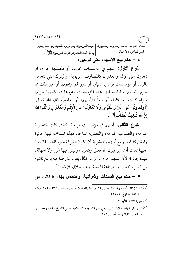| [كانت الشركة مباحة ومعروفة ومشهورة،   حرمه الله ورسوله، وهو من ربا الجاهلية، ومن تعامل به فهو ] |                          |
|-------------------------------------------------------------------------------------------------|--------------------------|
| يدخل تحت اللعنة، وهو محارب لله ورسوله ﷺ                                                         | وليس فيها غرر ولا جهالة. |
|                                                                                                 |                          |

٤ – حكم بيع الأسهم، على نوعين:

**النوع الأول:** أسهم في مؤسسات محرمة، أو مكسبها حرام، أو تتعاون على الإثم والعدوان كالمصارف: الربوية، والبنوك التي تتعامل بالربا، أو مؤسسات نوادي القيار، أو دور لهو ومجون، أو غىر ذلك مما حرم الله تعالى، فالمعاملة في هذه المؤسسات وغيرها مما يشبهها حرام، سواء كانت: مساهمة، أو بيعاً للأسهم، أو تعاملاً، قال الله تعالى: ﴿وَتَعَاوَنُوا عَلَى الْبِرِّ وَالتَّقْوَى وَلَا تَعَاوَنُوا عَلَى الْإِثْم وَالْعُدْوَانِ وَاتَّقُوا الله إِنَّ الله شَدِيدُ الْعِقَابِ﴾(`'.

النوع الثاني: أسهم في مؤسسات مباحة: كالشركات التجارية المباحة، والصناعية المباحة، والعقارية المباحة، فهذه المساهمة فيها جائزة والمشاركة فيها وبيع أسهمها، بشرط أن تكون الشركة معروفة، والقائمون عليها ثقات أمناء يراقبون الله تعالى ويتقونه، وليس فيها غرر ولا جهالة، فهذه جائزة؛ لأن السهم جزء من رأس المال يعود على صاحبه بربح ناشئ من كسب التجارة والصناعة المباحة، وهذا حلال بلا شك (").

ه – حكم بيع السندات وشرائها، والتعامل بها، إذا كانت على

(١) انظر : زكاة الأسهم والسندات، ص ١٥، والربا والمعاملات المصر فية، ص ٣٦٩ – ٣٧٥، وفقه الزكاة للقرضاوي، ١/ ٥٢١.

(٢) سورة المائدة، الآية: ٢.

(٣) انظر : الربـا والمعـاملات المصر\_فية في نظـر الشر\_يعة الإسـلامية، لمعـالي الشـيخ الـدكتور عمـر بـن عبدالعزيز المترك رحمه الله، ص ٣٧١.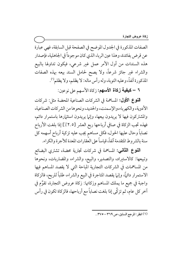الصفات المذكورة في الجدول الموضح في الصفحة قبل السابقة، فهي عبارة عن قرض بفائدة، وهذا عين الربا، الذي كان موجوداً في الجاهلية، فإصدار هذه السندات من أول الأمر عمل غير شرعي، فيكون تداولها بالبيع والشراء غير جائز شرعاً، ولا يصح لحامل السند بيعه بهذه الصفات المذكورة آنفاً، وعليه التوبة، وله رأس ماله: لا يظلم، ولا يظلم''.

٦ – **كيفية زكاة الأسهم:** زكاة الأسهم على نوعين:

النوع الأول: المساهمة في الشركات الصناعية المحضة مثل: شركات الأدوية، والكهرباء،والإسمنت، والحديد، ونحوها من الشر كات الصناعية، والمشتركون فيها لا يريدون بيعها، وإنها يريدون استثهارها باستمرار دائم، فهذه تجب الزكاة في صافي أرباحها ربع العشر [٢.٥٪] إذا بلغت الأرباح نصاباً وحال عليها الحول، فكل مساهم يجب عليه تزكية أرباح أسهمه كل سنة بالشروط المتقدمة آنفاً، قياساً على العِّقارات المعدة للأجرة والكراء.

**النوع الثاني:** المساهمة في شركات تجارية محضة، تشتري البضائع وتبيعها: كالاستيراد، والتصدير، والبيع، والشراء، والمضاربات، ونحوها من المساهمات في الشركات التجارية المباحة التي لا يقصد المساهم فيها الاستمرار دائهًا، وإنها يقصد المتاجرة في البيع والشراء، طلباً للربح، فالزكاة واجبة في جميع ما يملك المساهم وزكاتها: زكاة عروض التجارة، تقوَّم في آخر كل عام، ثم تزكَّى إذا بلغت نصاباً مع أرباحها، فالزكاة تكون في رأس

(١) انظر: المرجع السابق، ص ٣٦٩-٣٧٥..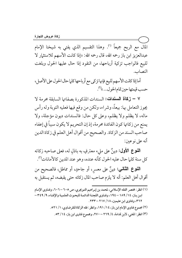المال مع الربح جميعاً <sup>(י)</sup>. وهذا التقسيم الذي يفتي به شيخنا الإمام عبدالعزيز ابن باز رحمه الله، قال رحمه الله: «إذا كانت الأسهم للاستثمار لا للبيع فالواجب تزكية أرباحها، من النقود إذا حال عليها الحول وبلغت النصاب.

أما إذا كانت الأسهم للبيع فإنها تزكى مع أرباحها كلما حال الحول على الأصل، حسب قيمتها حين تمام الحول... »<sup>(٢)</sup>.

Y - زكاة السندات: السندات المذكورة بصفاتها السابقة محرمة لا يجوز التعامل بها: بيعاً، وشراء، ولكن من وقع فيها فعليه التوبة وله رأس ماله، لا يظلم ولا يظلم، وعلى كل حال: فالسندات ديون مؤجلة، ولا يمنع من زكاتها كون الفائدة محرمة، إذ إن التحريم لا يكون سبباً في إعفاء صاحب السند من الزكاة. والصحيح من أقوال أهل العلم في زكاة الدين أنه على نوعين:

**النوع الأول:** دينٌ على مليء معترفٍ به باذلٍ له، فعلى صاحبه زكاته كل سنة كلما حال عليه الحول كأنه عنده، وهو عند المدين كالأمانات'".

**النوع الثاني:** دينٌ على معسرٍ، أو جاحدٍ، أو مماطلٍ، فالصحيح من أو جاحدٍ أقوال أهل العلم: أنه لا يلزم صاحب المال زكاته حتى يقبضه، ثم يستقبل به

(١) انظر : مختصر الفقه الإسلامي، لمحمد بن إبراهيم التويجري، ص ٢٠٥ –٢٠٦، وفتـاوى الإمـام ابن باز، ١٤/ ١٨٩ – ١٩٤، وفتاوى اللجنة الدائمة للبحوث العلمية والإفتاء، ٩/ ٣٤٩ – ۳٦۲، وفتاوي ابن عثيمين، ٢١٧ / ٢١٧ – ٢٣٣.

(۲) مجموع فتاوى الإمام ابن باز، ١٤/ ١٩١، وانظر : فقه الزكاة للقرضاوي، ١/ ٥٢١.

(٣) انظر : المغني، لابن قدامة، ٤/ ٢٦٩ – ٢٧٠، ومجموع فتاوى ابن باز، ١٤/ ٥٣.

ــــــــــــــــــــــــــــــــــــــــــــــــــــــــــــــــــــــــــــ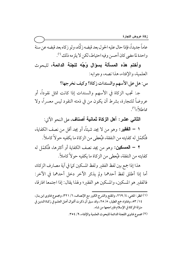عاماً جديداً، فإذا حال عليه الحول بعد قبضه زكَّاه، ولو زكاه بعد قبضه عن سنة واحدة لما مضى كان أحسن وفيه احتياط، لكن لا يلز مه ذلك (').

وأختم هذه المسألة بسؤال وُجِّه للجنة الدائمة، للحوث العلمية، والإفتاء، هذا نصه، وجوابه:

س: هل على الأسهم والسندات زكاة؟ وكيف نخرجها؟

جـ: تجب الزكاة في الأسهم والسندات إذا كانت تمثل نقوداً، أو عروضاً للتجارة، بشرط أن يكون من في ذمته النقود ليس معسراً، ولا مماطلاً،'')

الثاني عشر: أهل الزكاة ثمانية أصناف، على النحو الآتي:

١ – الفقير: وهو من لا يجد شيئاً، أو يجد أقل من نصف الكفاية، فتُكمّل له كفايته من النفقة، فيُعطى من الزكاة ما يكفيه حو لاً كاملاً.

٢ – المسكين: وهو من يجد نصف الكفاية أو أكثرها، فتُكمّل له كفايته من النفقة، فيُعطى من الزكاة ما يكفيه حو لاً كاملاً.

هذا إذا جمع بين لفظ الفقير ولفظ المسكين كما في آية مصارف الزكاة، أما إذا أطلق لفظ أحدهما ولم يذكر الآخر دخل أحدهما في الآخر: فالفقير هو المسكين، والمسكين هو الفقير؛ ولهذا يقال: إذا اجتمعا افترقا،

(١) انظر : المغنى، ٤/ ٢٦٩، والمقنع والشرح الكبير مع الإنصاف، ٦/ ٣٢١، ومجموع فتاوى ابن باز، ٢ / ٥٣، وفتاواه جمع الطيار، ٥/ ٢٥، وقد سبق أن ذكرت أقـوال أهـل العلـم في زكـاة الـدين في منزلة الزكاة في الإسلام فليراجعها من شاء.

<sup>(</sup>٢) مجموع فتاوى اللجنة الدائمة للبحوث العلمية والإفتاء، ٩/ ٣٥٤.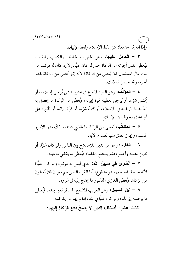وإذا افترقا اجتمعا: مثل لفظ الإسلام ولفظ الإيهان.

٣ – العامل عليها: وهو الجابي، والحافظ، والكاتب والقاسم فيُعطي بقدر أجرته من الزكاة حتى لو كان غنيًّا، إلا إذا كان له مرتب من بيت مال المسلمين فلا يُعطى من الزكاة؛ لأنه إنها أعطى من الزكاة بقدر أجرته وقد حصل له ذلك.

م – المؤلف: وهو السيد المطاع في عشيرته ممن يُرجى إسلامه، أو يُخشى شرَّه، أو يُرجى بعطيته قوة إيهانه، فيُعطى من الزكاة ما يحصل به التأليف؛ لترغيبه في الإسلام، أو كفَّ شرَّه، أو قوَّة إيهانه، أو تأثيره على أتباعه في دخولهم في الإسلام.

0 – ا**لمكاتب:** يُعطى من الزكاة ما يقضي دينه، ويفكّ منها الأسير المسلم، ويجوز العتق منها لعموم الآية.

٦ – الغارم: وهو من تدين للإصلاح بين الناس ولو كان غنيًّا، أو تدين لنفسه وأعسر، فلم يستطع القضاء فيُعطى ما يقضي به دينه.

٧ – ا**لـغازي فـي سبيل الله:** الذي ليس له مرتب ولو كان غنيًّا؛ لأنه لحاجة المسلمين وهو متطوع، أما الغزاة الذين لهم ديوان فلا يُعطون من الزكاة، فيُعطى الغازي المذكور ما يحتاج إليه في غزوه.

٨ – ا**بن السبيل:** وهو الغريب المنقطع المسافر لغير بلده، فيُعطى ما يوصله إلى بلده ولو كان غنيًّا في بلده إذا لم يجد من يقرضه.

الثالث عشر : أصناف الذين لا يصحّ دفع الزكاة إليهم: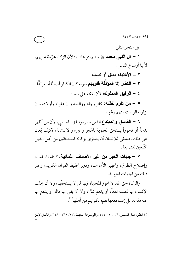على النحو التالي:

١ – آل النبي محمد ﷺ وهم بنو هاشم؛ لأن الزكاة محرَّمة عليهم؛ لأنها أوساخ الناس.

٢ \_ الأغنياء بمال أو كسب. ٣ – ا**لكفار إلا المؤلِّفة قلوبهم** سواء كان الكافر أصليًّا أو مرتدًّا. ٤ – ا**لرقيق المملوك؛** لأن نفقته على سيده.

0 – من تلزم نفقته: كالزوجة، ووالديه وإن علوا، وأولاده وإن نزلوا، الوارث منهم وغيره.

٦ – الفاسق والمبتدع الذين يصرفونها في المعاصي؛ لأن من أظهر بدعةً أو فجوراً يستحق العقوبة بالهجر وغبره والاستتابة، فكيف يُعان على ذلك، فينبغي للإنسان أن يتحرَّى بزكاته المستحقين من أهل الدين المتَّىعين للشر يعة.

٧ – جهات الخير من غير الأصناف الثمانية: كيناء المساجد، وإصلاح الطرق، وتجهيز الأموات، ودور تحفيظ القرآن الكريم، وغير ذلك من الجهات الخيرية.

والزكاة حق الله، لا تجوز المحاباة فيها لمن لا يستحقَّها، ولا أن يجلب الإنسان بها لنفسه نفعاً، أو يدفع شرًّا، ولا أن يقى بها ماله أو يدفع بها عنه مذمة، بل يجب دفعها لهم؛ لكونهم من أهلها''`.

<sup>(</sup>١) انظر: منار السبيل، ١/ ٢٦٦ – ٢٧٢، والموسوعة الفقهيـة، ٢٢/ ٣١٢ – ٣٢٨، والكـافي لابـن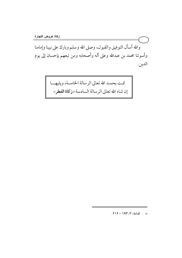والله أسأل التوفيق والقبول، وصلى الله وسلم وبارك على نبينا وإمامنا وأسوتنا محمد بن عبدالله وعلى آله وأصحابه ومن تبعهم بإحسان إلى يوم الدين.

> تمت بحمد الله تعالى الرسالة الخامسة، ويليهـــا إن شاء الله تعالى الرسالة السادسة «زكاة الفطر»

> > =  $\bar{u} = \frac{1}{2} \sqrt{1 + 1 - 1 + 1}$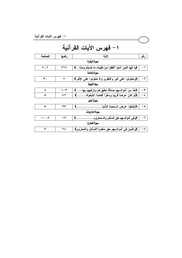| ١ – فهرس الآيات القرآنية |              |                                                                                       |               |
|--------------------------|--------------|---------------------------------------------------------------------------------------|---------------|
| ١ – فهرس الآيات القرآنية |              |                                                                                       |               |
| الصفحة                   | رقمها        | الآية                                                                                 | رقم           |
| سورة البقرة              |              |                                                                                       |               |
| ۲، ۸                     | <b>YJV</b>   | ﴿يَا أَيُّهَا الَّذِينَ آَمَنُوا أَنْفِقُوا مِنْ طَيِّبَاتِ مَا كَسَبْتُمْ وَمَمَّا…﴾ | $-1$          |
|                          | سورة المائدة |                                                                                       |               |
| ۳.                       | ۲            | ﴿وَتَعَاوَنُوا عَلَى الَّبِرِّ وَالتَّقْوَى وَلا تَعَاوَنُوا عَلَى الإِتْم.﴾          | $-7$          |
| سوةالتوبة                |              |                                                                                       |               |
| ٨                        | ۱۰۳          | ﴿خُذْ مِنْ أُمْوَالَـــهِمْ صَدَقَةَ تَطَهَّرُهُمْ وَتَزَكَّبِهِمْ بِهَا﴾             | $-\tau$       |
| ٥                        | ٤٢           | ﴿لَوْ كَانَ عَرَضًا قَرِيبًا وَسَفَرًا قَاصِدًا لِاتَّبَعُوكَ.                        | $-\epsilon$   |
|                          |              | سورةاللور                                                                             |               |
| ٥                        | ۳۳           | ﴿لتَبْتَغُوا عَرَضَ الــْحَيَاةِ الدُّنْيَا.                                          | ه –           |
| سورة الذاريات            |              |                                                                                       |               |
| ۹، ۱۰                    | ۱۹           | ﴿وَفِي أَمْوَالِسِهِمْ حَقٍّ لِلسَّائِلِ وَالسَّمَحْرُوهِ                             | -٦            |
| سورة المعارج             |              |                                                                                       |               |
| ٩                        | ۲٤           | ﴿وَالَّذِينَ فِي أَمْوَالِسِهِمْ حَقٍّ مَعْلُومٌ *للسَّائلِ وَالْمَحْرُومِ﴾           | $-\mathsf{v}$ |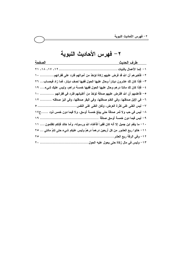٢ – فهرس الأحاديث النبوية

| الصفحة                                                                                       |                         |
|----------------------------------------------------------------------------------------------|-------------------------|
|                                                                                              |                         |
| ٢ – فأخبر هم أن الله قد فرض عليهم زكاة تؤخذ من أموالهم فترد على فقرائهم ١٠                   |                         |
| ٣ – فإذا كان لك عشرون ديناراً وحال عليها الحول ففيها نصف دينار ، فما زاد فبحساب… ٢٦          |                         |
| ٤ – فإذا كان لك مائتا در هم وحال عليها الحول ففيها خمسة دراهم، وليس عليك شيء ١٩              |                         |
| ٥– فأعلمهم أن الله افترض عليهم صدقة تؤخذ من أغنيائهم فترد في فقرائهم  ١٠                     |                         |
| ٦– في الإبل صدقتها، وفي الغنم صدقتها، وفي البقر صدقتها، وفي البز صدقته  ١٢                   |                         |
|                                                                                              |                         |
| ٨– ليس في حب ولا ثمر صدقة حتى يبلغ خمسة أوسق، ولا فيما دون خمس ذود ح١٧                       |                         |
|                                                                                              |                         |
| ١٠– ما ينقم ابن جميل إلا أنـه كان فقيراً فأغنـاه الله ورسولـه، وأمـا خالد فإنكم تظلمون …. ١١ |                         |
| ١١– هاتوا ربع العشور من كل أربعين درهماً درهمٌ وليس عليكم شيء حتى تتمَّ مائتي … ٢٥           |                         |
|                                                                                              | ١٢– وفي الرقة ربع العشر |
|                                                                                              |                         |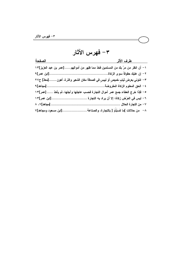٣- فهرس الآثار

| الصفحة              |                                                                                   |
|---------------------|-----------------------------------------------------------------------------------|
|                     | ١ – أن انظر من مرَّ بك من المسلمين فخذ مما ظهر من أموالهم[عمر بن عبد العزيز]١٣    |
|                     |                                                                                   |
|                     | ٣– ائتوني بعرض ثيابٍ خميصٍ أو لبيسٍ في الصدقة مكان الشعير والذرة، أهون [معاذ] ح٢٧ |
|                     |                                                                                   |
|                     | ٥- فإذا خرج العطاء جمع عمر أموال التجارة فحسب عاجلها وآجلها، ثم يأخذ  [عمر]١٣     |
|                     |                                                                                   |
|                     |                                                                                   |
| [ابن مسعود ومجاهد]٧ | ٨–   من حلالات ]مَا كَسَبْتُمْ [ بالتجارة، والصناعة ………                           |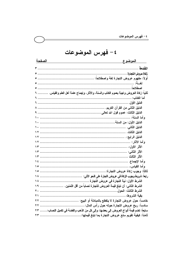٤ – فهرس الموضوعات

| <u>الموضوع</u><br><u>الصفحة</u>                                                           |
|-------------------------------------------------------------------------------------------|
|                                                                                           |
|                                                                                           |
|                                                                                           |
|                                                                                           |
|                                                                                           |
| ثانياً: زكاة العروض واجبة بعموم الكتاب والسنة، والآثار، وإجماع عامة أهل العلم والقياس.  ٦ |
|                                                                                           |
|                                                                                           |
|                                                                                           |
|                                                                                           |
|                                                                                           |
|                                                                                           |
|                                                                                           |
|                                                                                           |
|                                                                                           |
|                                                                                           |
|                                                                                           |
|                                                                                           |
|                                                                                           |
|                                                                                           |
|                                                                                           |
|                                                                                           |
|                                                                                           |
|                                                                                           |
| الشرط الثانـى: أن تبلغ قيمة العروض للتجارة نصاباً من أقل الثمنين.  ١٩                     |
|                                                                                           |
|                                                                                           |
|                                                                                           |
| سادساً: ربح عروض التجارة حوله حول رأس المال: .<br>TT                                      |
| سابعاً: تضم فيمة أنواع العروض إلى بعضها، وإلى كل من الذهب والفضة فى تكميل النصاب: ٢٣      |
|                                                                                           |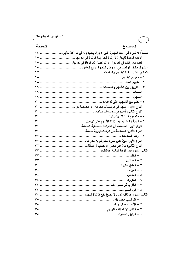| الصفحة                                                                       | <u>      الموضوع </u> |
|------------------------------------------------------------------------------|-----------------------|
| تاسعاً: لا شيء في آلات التجارة التي لا يراد بيعها ولا في ما أعدَّ للأجرة  ٢٤ |                       |
| الآلات المعدة للإجارة لا زكاة فيها إنما الزكاة فى أجرتها  ٢٥                 |                       |
|                                                                              |                       |
|                                                                              |                       |
|                                                                              |                       |
|                                                                              |                       |
|                                                                              |                       |
|                                                                              |                       |
|                                                                              |                       |
|                                                                              |                       |
|                                                                              |                       |
| النوع الأول: أسهم في مؤسسات محرمة، أو مكسبها حرام  ٣٠                        |                       |
|                                                                              |                       |
|                                                                              |                       |
|                                                                              |                       |
|                                                                              |                       |
|                                                                              |                       |
|                                                                              |                       |
|                                                                              |                       |
|                                                                              |                       |
|                                                                              |                       |
|                                                                              |                       |
|                                                                              |                       |
|                                                                              |                       |
|                                                                              |                       |
|                                                                              |                       |
|                                                                              |                       |
|                                                                              |                       |
|                                                                              | ٨ – ابن السبيل        |
|                                                                              |                       |
|                                                                              |                       |
|                                                                              |                       |
|                                                                              |                       |
|                                                                              |                       |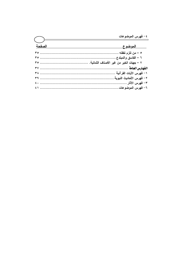| $\overline{(\begin{array}{c} \end{array})}$ |  |
|---------------------------------------------|--|
| الصفحة                                      |  |
|                                             |  |
|                                             |  |
|                                             |  |
|                                             |  |
|                                             |  |
|                                             |  |
|                                             |  |
|                                             |  |
|                                             |  |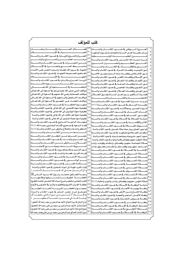| كتب للمؤلف                                                                                                                                |     |                                                                                                                             |  |
|-------------------------------------------------------------------------------------------------------------------------------------------|-----|-----------------------------------------------------------------------------------------------------------------------------|--|
| فضيعائل الصيعيام وقيصيام رمضي الن                                                                                                         |     | العسسروة السسوثقي فج ضيسسوء الكتسساب والسيسسنة                                                                              |  |
|                                                                                                                                           |     | بيسان عقيسدة أهسل السسنة والجماعسة ولسزوم اتباعهسا                                                                          |  |
| العمسرة والحسج والزيسارة فخضوء الكتساب والسسنة                                                                                            |     |                                                                                                                             |  |
|                                                                                                                                           | ٥٢  | شسرح أسمساء الله الحسسنى فجضسوء الكتساب والسسنة                                                                             |  |
| رمــــــى الجمــــــرات في ضـــــــوء الكتــــــاب والســــــنة                                                                           |     |                                                                                                                             |  |
|                                                                                                                                           | ء ہ | الفـــــــــــــوز العظــــــــــــــيم والخســــــــــــــران الــــــــــــــــبين                                        |  |
| الجهـاد _ سـبيل الله: فضـله، وأسـباب النصـر علـى الأعـداء                                                                                 |     | النـــــــــــور والظلمـــــــــــات في الكتــــــــــــاب والســــــــــــنة                                               |  |
| المفاهيم الصبحيحة للجهساد في ضبوء الكتساب والسننة                                                                                         |     | نــور التوحيــد وظلمــات الشــرك _2 ضــوء الكتــاب والســنة                                                                 |  |
|                                                                                                                                           |     | نسور الإخسلاص وظلمسات إرادة السدنيا بعمسل الآخسرة<br>نسور الإسسلام وظلمسات الكفسريخ ضسوء الكتساب والسسنة                    |  |
| الربسا: أضــــراره وآشـــاره في ضــــوء الكتــــاب والســــنة                                                                             |     |                                                                                                                             |  |
|                                                                                                                                           |     | نسور الإيمسان وظلمسات النفساق فج ضسوء الكتساب والسسنة                                                                       |  |
|                                                                                                                                           |     | نسور السسنة وظلمسات البدعسة فج ضسوء الكتساب والسسنة                                                                         |  |
|                                                                                                                                           |     | نسور التقسوى وظلمسات المعاصسي فج ضسوء الكتساب والسسنة أيلتج                                                                 |  |
| مواقف النبي صلى الله عليه وسلم في الدعوة إلى الله تعـالي                                                                                  |     | نسور الهسدى وظلمسات الضسلال في ضسوء الكتساب والسسنة                                                                         |  |
| مواقـف الصـحابـة رضـى الله عـنهم _2 الـدعوة إلى الله تعــالى                                                                              |     | قضسية الستكفير بسين أهسل السسنة وفسرق الضسلال                                                                               |  |
| مواقـــف التــــابعين وأتبــــاعهم ــة الــــدعوة إلى الله تعــــالى<br>مواقــف العلمـــاء عــبر العصـــور _2 الـــدعوة إلى الله تعـــالى |     | الاعتصيب المستقطع بالكتيب المستطاب والسيستسطينية                                                                            |  |
|                                                                                                                                           |     | تبريسـد حـــــرارة المصـــــيبة في ضـــــوء الكتـــــاب والســـــنة                                                         |  |
| مفهـــــــــوم الحكمـــــــــة _ ضـــــــــوء الكتــــــــاب والســــــــنة                                                               |     | عقيـــــدة المســــــلم _2 ضــــــــوء الكتــــــاب والســــــنة (٢/١)                                                      |  |
| كيفية دعوة الملحدين إلى الله تعالى في ضوء الكتاب والسنة                                                                                   |     | أنسواع الصسبر ومجالاتسه فج ضسوء الكتساب والسسنة<br>۱۹                                                                       |  |
| كيفية دعوة الـوثنيين إلى الله تعـالى _ ضوء الكتـاب والسـنـة                                                                               |     | أفسسات اللسيسسان فج ضيسوء الكتيساب والسيسينة                                                                                |  |
| كيفيـة دعوة أهل الكتاب إلى الله تعالى _2 ضوء الكتاب والسنــة                                                                              |     | ۲,<br>طهـــــــــور المســــــــلم في ضـــــــــوء الكتــــــــاب والســـــــــنة                                           |  |
| كيفية دعوة عصاة المسلمين إلى الله تعالى في ضوء الكتاب والسنة                                                                              |     | ۲ ۱<br>منزلة الصلاة في الإسلام في ضوء الكتاب والسنة                                                                         |  |
| مقومسات الداعيسة النساجح فجضوء الكتساب والسسنة                                                                                            |     | الأذان والإقامـــــة في ضـــــــــوء الكتــــــــاب والســــــــنة                                                          |  |
| فقــه الــدعوة ــِـة صــحيح الإمـــام البخــاري رحمــه الله (٢/١)                                                                         |     | ۲۳<br>شــــــــــروط الصـــــــــــلاة في ضـــــــــوء الكتـــــــــاب والســـــــــنة                                      |  |
| الـذكر والـدعاء والعـلاج بـالرقي مـن الكتـاب والسـنة (٤/١)                                                                                |     | ۲ ٤<br>قرة عيون المصلين ببيان صفة صلاة المحسنين في ضوء الكتاب والسنة                                                        |  |
| الـــــــــــــــدعاء مـــــــــــــــــن الكتــــــــــــــــاب والســـــــــــــــــــنة                                                | ٧٤  | <sup>70</sup> أركـــان الصــــلاة وواجباتهــــا ــة ضــــوء الكتــــاب والســــنة                                           |  |
| حصسسن المسسلم مسسن أذكسار الكتسساب والسسسنة                                                                                               |     | سجود السهو: مشروعيته ومواضعه وأسبابه في ضوء الكتاب والسنة                                                                   |  |
| ورد الصهياح والمساء في ضهوء الكتــاب والســــنة                                                                                           |     | ۲۷<br>صلاة التطوع: مفهوم وفضائل وأقسام وأنواع في ضوء الكتاب والسنة                                                          |  |
| العسسلاج بسسسالرقي مسسسن الكتسسساب والسيسسنة                                                                                              |     | صــلاة الجماعــة: مفهــو، وفضــائل، وأحكــام، وفوائــد، وآداب<br>۲۹                                                         |  |
|                                                                                                                                           |     | المســــاجد، مفهـــــوم، وفضــــــائل، وأحكـــــام، وحقـــــوق، وآداب                                                       |  |
| نسور الشسيب وحكسم تغسييره فج ضسوء الكتساب والسسنة                                                                                         | ٧٩  | ٢,<br>الإمامـــة في الصــــــــــلاة في ضــــــــوء الكتـــــــاب والســـــــنة                                             |  |
| قيسام الليسل: فضسله وآدابسه في ضسوء الكتساب والسسنة                                                                                       |     | ۳۱                                                                                                                          |  |
| صـــــلة الأرحــــــام في ضـــــوء الكتــــــاب والســــــنة                                                                              |     | ٣١<br>صعسلاة المسافر في ضعوء الكتعاب والسعنة                                                                                |  |
|                                                                                                                                           |     | ٣٢                                                                                                                          |  |
| سيسللامة الصيصيدر فجرضيه وء الكتيسيات والسيسينة                                                                                           |     | ۲٤                                                                                                                          |  |
| ثواب القرب المداة إلى أموات المسلمين في ضوء الكتاب والسنسة                                                                                |     | ۳٥<br>سنة                                                                                                                   |  |
| وداع الــرىســــــــول صــــــــلى الله علـــيــــــــــــه وســـــــلم لأمــــتــــــــــ ه                                              | ハて  | ٣٦<br>ــــلاة الكســـــــــوف _2 ضــــــــــوء الكتـــــــــاب والســ<br>ــــنة<br>$\mathsf{r}\mathsf{v}$                   |  |
| ــة للعـــــالمين محمـــــد رســــــول الله ســـــيد النــــــاس ﷺ                                                                        | ۸٥. | لاة الاستســـــقاء _2 ضــــــــوءِ الكتــ<br>ـــــاب ماڻس                                                                   |  |
|                                                                                                                                           |     | ۳۸<br>أحكـــــــام الجنـــــــــائز فج ضـــــــــوء الكتــــــــاب والســـــــــنة $ \hspace{.04cm}^{\wedge}\hspace{.02cm}$ |  |
| الثمر المجتنى مختصر شرح أسماء الله الحسنى (تحت الطبع)                                                                                     |     | صـلاة الـؤمن: مفهـوم، وفضـائل، وآداب، وأنـواع، وأحكـام (٣/١) $\mathsf{N}^\mathsf{V}$                                        |  |
| عظمــة القــرآن الكــريم وتعظيمــه وأشـره ـــِة النفــوس والأرواح                                                                         |     | $\epsilon$ .<br>منزلة الزكساة في الإسلام في ضبوء الكتساب والسينة الم                                                        |  |
| مجمــــوع الخطــــب المنبريــــــة (تحـــــت الطبــــــع)                                                                                 |     | ٤١<br>ساة بهميسة الأنعسام في ضيسوء الكتسباب والسيسنة $\wedge^{\mathsf{A}\mathsf{q}}$<br>زک                                  |  |
| تصحيح شرح حصن المسلم في ضوء الكتاب والسنة                                                                                                 |     | ٤٢<br>ساة الخسارج مسن الأرض في ضسوء الكتساب والسسنة $\vert \cdot \vert^{\mathfrak{q}}$                                      |  |
| ـــــــــف لا تنـــــــــسى مــــن ســـيرة والدني رحمهـــــ<br>ـا الل ه<br>امو اقــــ                                                     |     | ٤٢                                                                                                                          |  |
|                                                                                                                                           |     | زكساة عسروض التجسارة فج ضسوء الكتساب والسسنة   ٩٢  إجلاسة النسداء في ضسسسوء السنسسة السمطه حسسسر ق<br>٤٤                    |  |
| أبراج الزجاج ⊈ سيرة الحجاج: تأليف عبدالرحمن بن سعيد رحمه الله (تحقيق )                                                                    |     | ه ٤<br>$4r$ عند<br>سساة الفطيسسيرية ضيسسوء الكتيسساب والسر                                                                  |  |
| الجنـة والنـار: تـأليف عبـدالـرحمن بـن سـعيد بـن علـى رحمـه الله (تحقيـق)                                                                 |     | ٤٦<br>مصارف الزكاة في الإسلام في ضوء الكتاب والسنة                                                                          |  |
| غـزوة فـتح مكـة: تـأليف عبـدالرحمن بـن سـعيد بـن علـى رحمـه الله (تحقيـق)                                                                 |     | ٤٧<br>سنة ٩٥<br>صــــــدقة التطـــــــــوع _2 ضــــــــــوء الكتـــــــــاب والســ                                          |  |
| سيرة الشـاب الصـالح عبـدالرحمن بـن سـعيد بـن بـن علـى وهـف رحمـه الله                                                                     |     | سنة ٩٦                                                                                                                      |  |
|                                                                                                                                           |     |                                                                                                                             |  |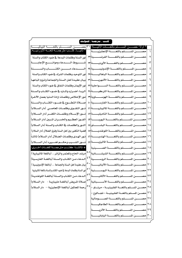| أحتسب ( مترجمــة ) للمؤلــف أ                                                                                                       |                                                                                         |
|-------------------------------------------------------------------------------------------------------------------------------------|-----------------------------------------------------------------------------------------|
| * اولا: حصـــــــن المســــــلم باللغــــــات الانيــــــة: ٣١]حصــــــــــــن المســــــــــلم باللغــــــــــة النيباليـــــــــة |                                                                                         |
| * ثانيــــا: كَتــــب مترجمـــــة للغــــة الأورديــــة:                                                                            |                                                                                         |
| نور السنة وظلمات البدعة في ضوء الكتاب والسنة                                                                                        |                                                                                         |
| شــــــــــروط الـــــــــــدعاء وموانـــــــــــع الإجابــــــــة                                                                  |                                                                                         |
| المستسدعاء مستسن الكتسستاب والسمسسنة                                                                                                |                                                                                         |
| نور التوحيد وظلمات الشرك فخضوء الكتاب والسنة                                                                                        | ٥                                                                                       |
| بيان عقيدة أهل السنة والجماعة ولزوم اتباعها                                                                                         | حصـــــــن المســـــــلم باللغــــــــة الأمهريــــــــة  ٣                             |
| نور الإيمان وظلمات النفاق فخ ضوء الكتاب والسنة                                                                                      | حصـــــــــن المســـــــــلم بـاللغـــــــــة الســــــــــواحلية ٣٧                    |
| الربــا: أضــراره وآشــاره في ضــوء الكتــاب والســنة                                                                               | ٨                                                                                       |
| نور الإخلاص وظلمات إرادة الدنيا بعمل الآخرة                                                                                         |                                                                                         |
| صللاة التطوع في ضوء الكتساب والسسنة                                                                                                 | حصــــــــــن المســـــــــــلم بـاللغــــــــــة الفارســـــــــية ٤٠<br>١.            |
| نسور التقسوي وظلمسات المعاصسي (دار السسلام)                                                                                         | ۱۱                                                                                      |
| نور الإسلام وظلمات الكفر (دار السلام)                                                                                               | حصـــــــن المســـــــــلم باللغـــــــــة التاميليــــــــة ٤٢<br>۲ (                  |
| الفوز العظيم والخسران المبين (دار السللام)                                                                                          | ۱۲                                                                                      |
| النور والظلمات في الكتاب والسنة (دار السلام)                                                                                        | $\frac{1}{2}$                                                                           |
| قضية التكفير بين أهل السنة وفرق الضلال (دار السلام)                                                                                 | $\mathcal{L}$                                                                           |
| نــور الهـدى وظلمــات الضــلال (دار الســلام) ثـالثــاً                                                                             |                                                                                         |
| نسور الشسيب وحكسم تغسييره (دار السلسلام)                                                                                            |                                                                                         |
| * ثالثــــا: كتــــب مترجمــــة للغــــات أخــــرى:                                                                                 | ١٨ حصـــــــن المســــــــلم بـاللغــــــــــة الصـــــــــينية                         |
| مرشد الحاج والمتمر والزائر (باللغة الماليبارية)                                                                                     | ا المحصيلين المستسملم باللغيسية الشيشيسسانية $\left  \wedge^2 \right $                  |
| الدعاء مـن الكتـاب والسـنة (باللغـة الفارسـية)                                                                                      | ۲.                                                                                      |
| بيان عقيدة أهل السنة والجماعة  (باللغة الإندونيسية )                                                                                |                                                                                         |
| نور السنة وظلمات البدعة في ضوء الكتاب والسنة باللغة الماليبارية                                                                     | ٢٢ حصــــــــــن المســـــــــــلم بـاللغـــــــــــة البوســــــــــنية  <sup>٥١</sup> |
| الدعاء من الكتاب والسنة (باللغـة اللوغنديـة)<br>ا ت                                                                                 | حصير السيطيم باللغيسية الألمانيسية<br>۲۳                                                |
| صلاة المريض (باللغة مليباريية - دار السلام)                                                                                         | ۲٤                                                                                      |
| ع ہ<br>رحمة للعالمين (باللغة الإنجليزية — دار السلام)                                                                               | حصـــن المســلم باللغـــة الفلبينيـــة « مرنـــاو »<br>م ۲                              |
|                                                                                                                                     | ۲٦<br>حصــن المســلم باللغــة الفلبينيــة « تجــالوج »                                  |
|                                                                                                                                     | حصير المسلم باللغية الصيومالية<br>۲۷                                                    |
|                                                                                                                                     | حصين المسلم باللغية الطاجكينة<br>۲۸                                                     |
|                                                                                                                                     | حصيصن المستسلم باللغيسة الأذرينية<br>۲۹                                                 |
|                                                                                                                                     | حصيرالمسلم باللغيسة اليابانيسة<br>$\mathfrak{r}$ .                                      |